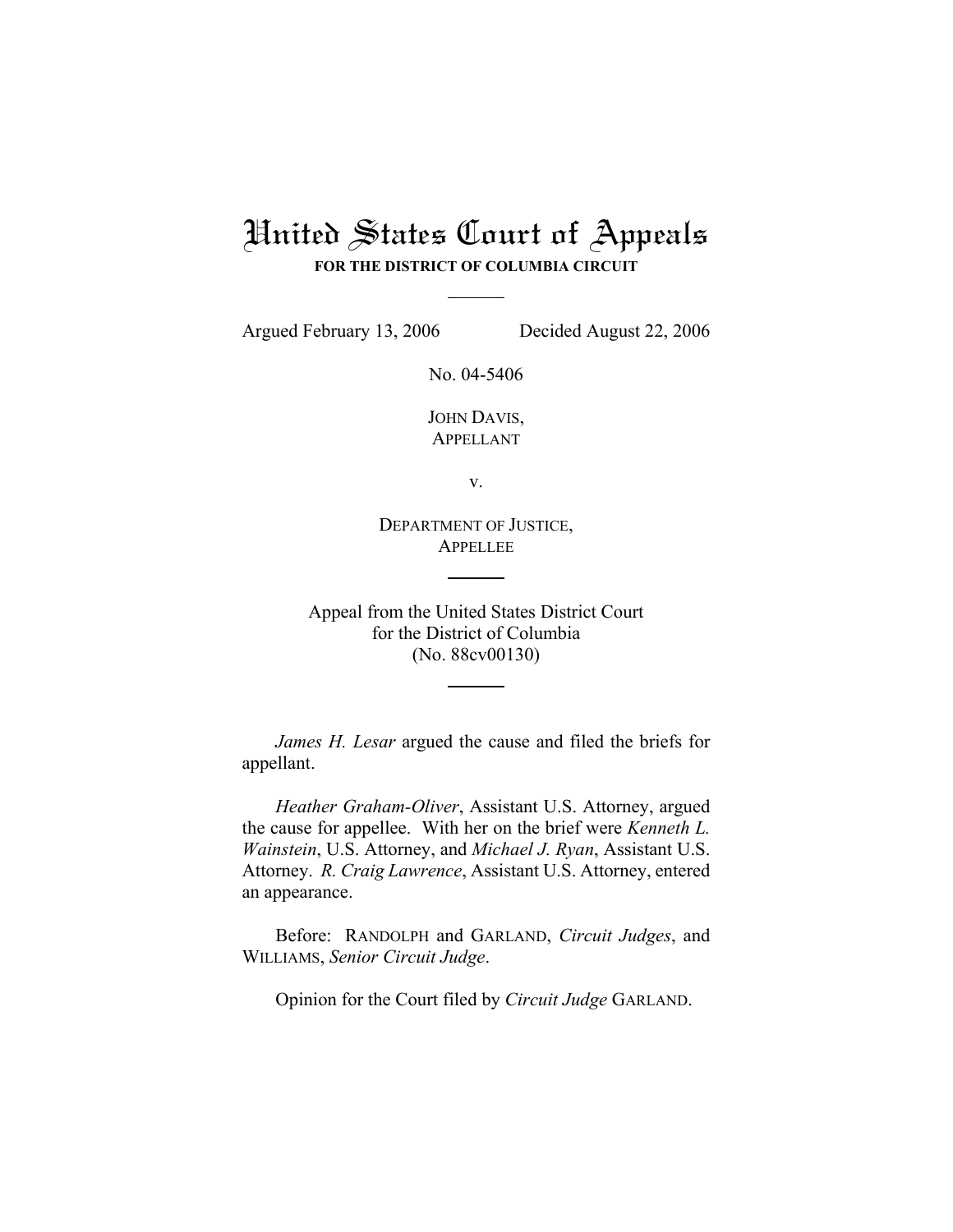## United States Court of Appeals

**FOR THE DISTRICT OF COLUMBIA CIRCUIT**

Argued February 13, 2006 Decided August 22, 2006

No. 04-5406

JOHN DAVIS, APPELLANT

v.

DEPARTMENT OF JUSTICE, APPELLEE

Appeal from the United States District Court for the District of Columbia (No. 88cv00130)

*James H. Lesar* argued the cause and filed the briefs for appellant.

*Heather Graham-Oliver*, Assistant U.S. Attorney, argued the cause for appellee. With her on the brief were *Kenneth L. Wainstein*, U.S. Attorney, and *Michael J. Ryan*, Assistant U.S. Attorney. *R. Craig Lawrence*, Assistant U.S. Attorney, entered an appearance.

Before: RANDOLPH and GARLAND, *Circuit Judges*, and WILLIAMS, *Senior Circuit Judge*.

Opinion for the Court filed by *Circuit Judge* GARLAND.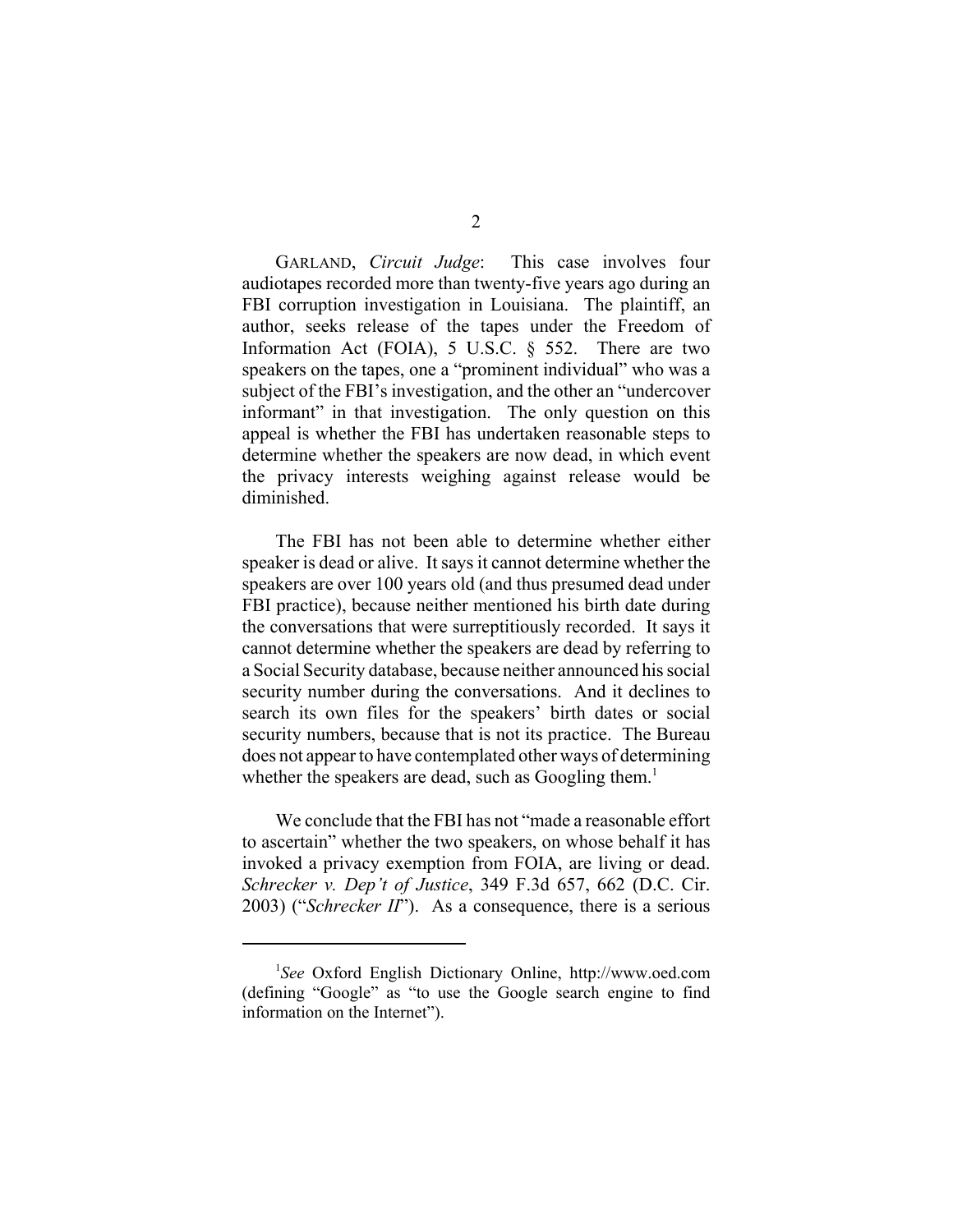GARLAND, *Circuit Judge*: This case involves four audiotapes recorded more than twenty-five years ago during an FBI corruption investigation in Louisiana. The plaintiff, an author, seeks release of the tapes under the Freedom of Information Act (FOIA), 5 U.S.C. § 552. There are two speakers on the tapes, one a "prominent individual" who was a subject of the FBI's investigation, and the other an "undercover informant" in that investigation. The only question on this appeal is whether the FBI has undertaken reasonable steps to determine whether the speakers are now dead, in which event the privacy interests weighing against release would be diminished.

The FBI has not been able to determine whether either speaker is dead or alive. It says it cannot determine whether the speakers are over 100 years old (and thus presumed dead under FBI practice), because neither mentioned his birth date during the conversations that were surreptitiously recorded. It says it cannot determine whether the speakers are dead by referring to a Social Security database, because neither announced his social security number during the conversations. And it declines to search its own files for the speakers' birth dates or social security numbers, because that is not its practice. The Bureau does not appear to have contemplated other ways of determining whether the speakers are dead, such as Googling them.<sup>1</sup>

We conclude that the FBI has not "made a reasonable effort to ascertain" whether the two speakers, on whose behalf it has invoked a privacy exemption from FOIA, are living or dead. *Schrecker v. Dep't of Justice*, 349 F.3d 657, 662 (D.C. Cir. 2003) ("*Schrecker II*"). As a consequence, there is a serious

<sup>1</sup> *See* Oxford English Dictionary Online, http://www.oed.com (defining "Google" as "to use the Google search engine to find information on the Internet").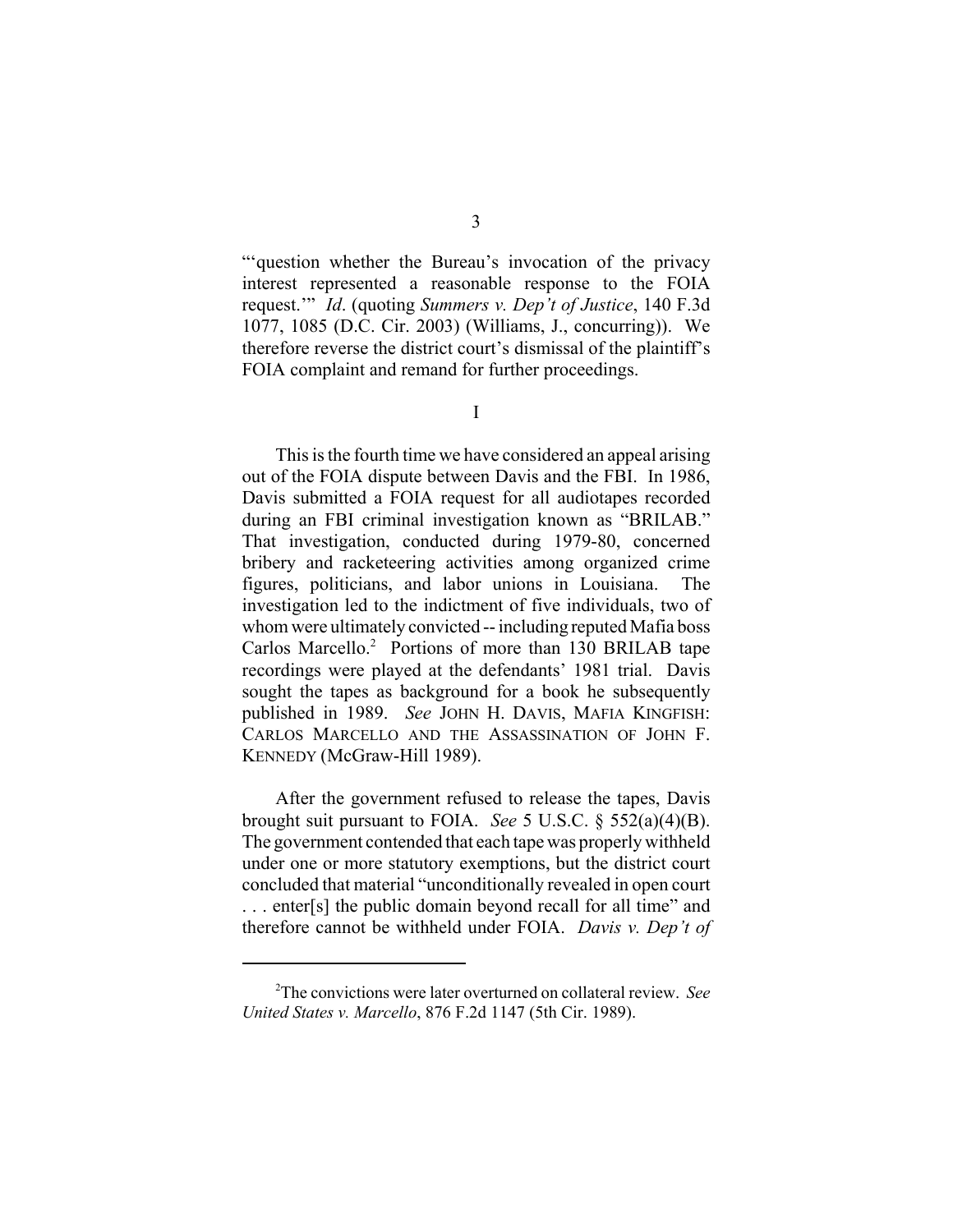"'question whether the Bureau's invocation of the privacy interest represented a reasonable response to the FOIA request.'" *Id*. (quoting *Summers v. Dep't of Justice*, 140 F.3d 1077, 1085 (D.C. Cir. 2003) (Williams, J., concurring)). We therefore reverse the district court's dismissal of the plaintiff's FOIA complaint and remand for further proceedings.

I

This is the fourth time we have considered an appeal arising out of the FOIA dispute between Davis and the FBI. In 1986, Davis submitted a FOIA request for all audiotapes recorded during an FBI criminal investigation known as "BRILAB." That investigation, conducted during 1979-80, concerned bribery and racketeering activities among organized crime figures, politicians, and labor unions in Louisiana. The investigation led to the indictment of five individuals, two of whom were ultimately convicted -- including reputed Mafia boss Carlos Marcello.<sup>2</sup> Portions of more than 130 BRILAB tape recordings were played at the defendants' 1981 trial. Davis sought the tapes as background for a book he subsequently published in 1989. *See* JOHN H. DAVIS, MAFIA KINGFISH: CARLOS MARCELLO AND THE ASSASSINATION OF JOHN F. KENNEDY (McGraw-Hill 1989).

After the government refused to release the tapes, Davis brought suit pursuant to FOIA. *See* 5 U.S.C. § 552(a)(4)(B). The government contended that each tape was properly withheld under one or more statutory exemptions, but the district court concluded that material "unconditionally revealed in open court . . . enter[s] the public domain beyond recall for all time" and therefore cannot be withheld under FOIA. *Davis v. Dep't of*

<sup>2</sup> The convictions were later overturned on collateral review. *See United States v. Marcello*, 876 F.2d 1147 (5th Cir. 1989).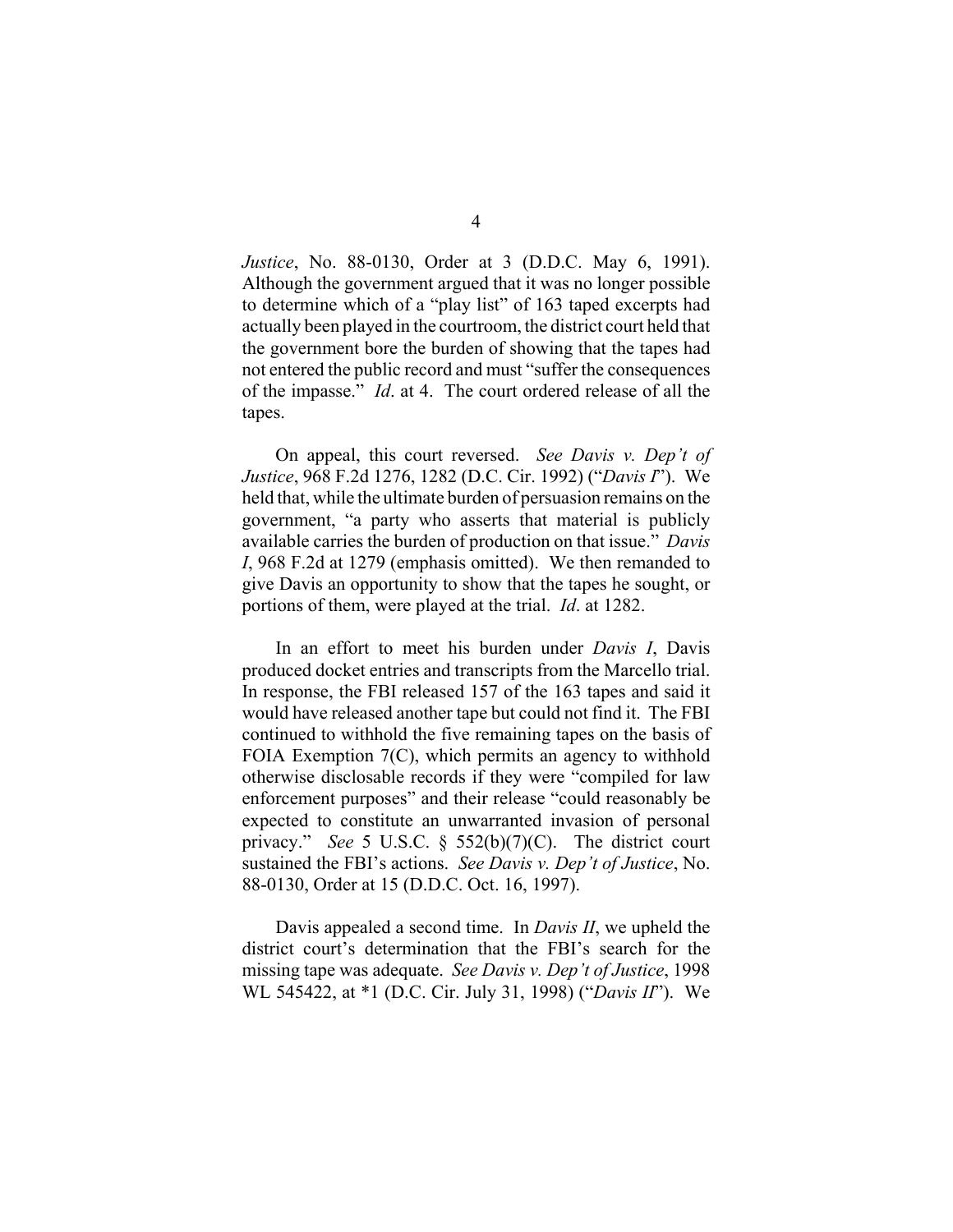*Justice*, No. 88-0130, Order at 3 (D.D.C. May 6, 1991). Although the government argued that it was no longer possible to determine which of a "play list" of 163 taped excerpts had actually been played in the courtroom, the district court held that the government bore the burden of showing that the tapes had not entered the public record and must "suffer the consequences of the impasse." *Id*. at 4. The court ordered release of all the tapes.

On appeal, this court reversed. *See Davis v. Dep't of Justice*, 968 F.2d 1276, 1282 (D.C. Cir. 1992) ("*Davis I*"). We held that, while the ultimate burden of persuasion remains on the government, "a party who asserts that material is publicly available carries the burden of production on that issue." *Davis I*, 968 F.2d at 1279 (emphasis omitted). We then remanded to give Davis an opportunity to show that the tapes he sought, or portions of them, were played at the trial. *Id*. at 1282.

In an effort to meet his burden under *Davis I*, Davis produced docket entries and transcripts from the Marcello trial. In response, the FBI released 157 of the 163 tapes and said it would have released another tape but could not find it. The FBI continued to withhold the five remaining tapes on the basis of FOIA Exemption 7(C), which permits an agency to withhold otherwise disclosable records if they were "compiled for law enforcement purposes" and their release "could reasonably be expected to constitute an unwarranted invasion of personal privacy." *See* 5 U.S.C. § 552(b)(7)(C). The district court sustained the FBI's actions. *See Davis v. Dep't of Justice*, No. 88-0130, Order at 15 (D.D.C. Oct. 16, 1997).

Davis appealed a second time. In *Davis II*, we upheld the district court's determination that the FBI's search for the missing tape was adequate. *See Davis v. Dep't of Justice*, 1998 WL 545422, at \*1 (D.C. Cir. July 31, 1998) ("*Davis II*"). We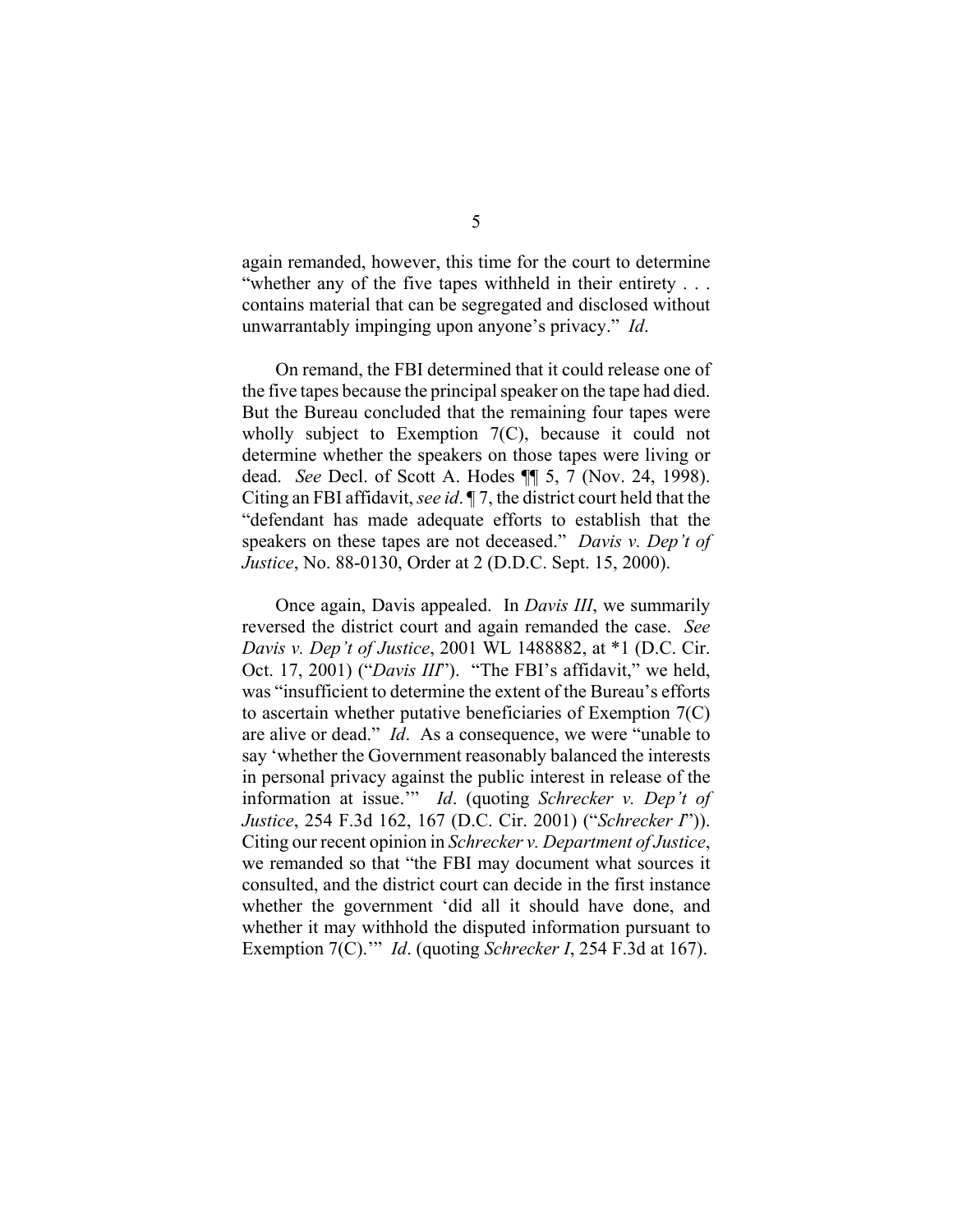again remanded, however, this time for the court to determine "whether any of the five tapes withheld in their entirety . . . contains material that can be segregated and disclosed without unwarrantably impinging upon anyone's privacy." *Id*.

On remand, the FBI determined that it could release one of the five tapes because the principal speaker on the tape had died. But the Bureau concluded that the remaining four tapes were wholly subject to Exemption 7(C), because it could not determine whether the speakers on those tapes were living or dead. *See* Decl. of Scott A. Hodes ¶¶ 5, 7 (Nov. 24, 1998). Citing an FBI affidavit, *see id*. ¶ 7, the district court held that the "defendant has made adequate efforts to establish that the speakers on these tapes are not deceased." *Davis v. Dep't of Justice*, No. 88-0130, Order at 2 (D.D.C. Sept. 15, 2000).

Once again, Davis appealed. In *Davis III*, we summarily reversed the district court and again remanded the case. *See Davis v. Dep't of Justice*, 2001 WL 1488882, at \*1 (D.C. Cir. Oct. 17, 2001) ("*Davis III*"). "The FBI's affidavit," we held, was "insufficient to determine the extent of the Bureau's efforts to ascertain whether putative beneficiaries of Exemption 7(C) are alive or dead." *Id*. As a consequence, we were "unable to say 'whether the Government reasonably balanced the interests in personal privacy against the public interest in release of the information at issue.'" *Id*. (quoting *Schrecker v. Dep't of Justice*, 254 F.3d 162, 167 (D.C. Cir. 2001) ("*Schrecker I*")). Citing our recent opinion in *Schrecker v. Department of Justice*, we remanded so that "the FBI may document what sources it consulted, and the district court can decide in the first instance whether the government 'did all it should have done, and whether it may withhold the disputed information pursuant to Exemption 7(C).'" *Id*. (quoting *Schrecker I*, 254 F.3d at 167).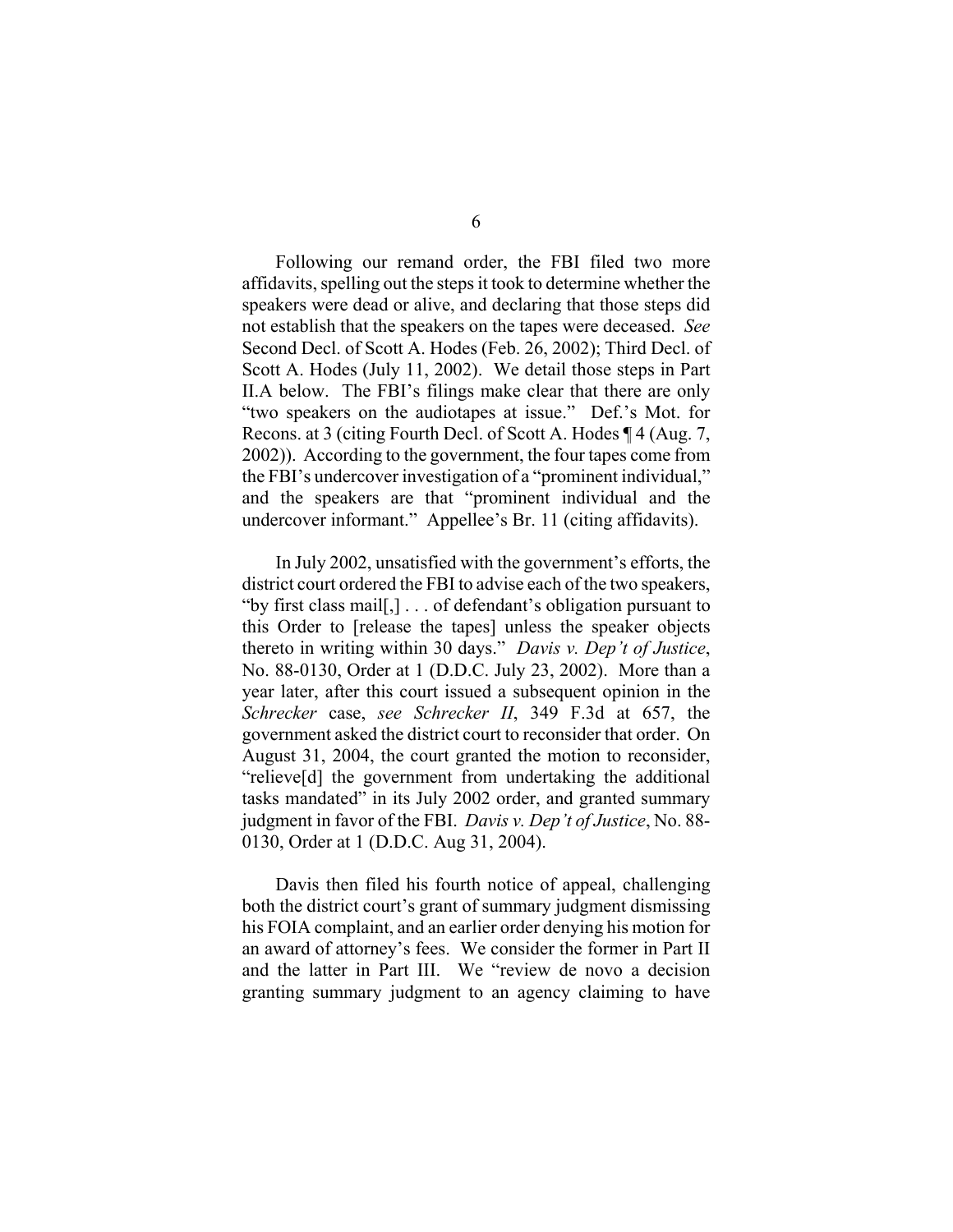Following our remand order, the FBI filed two more affidavits, spelling out the steps it took to determine whether the speakers were dead or alive, and declaring that those steps did not establish that the speakers on the tapes were deceased. *See* Second Decl. of Scott A. Hodes (Feb. 26, 2002); Third Decl. of Scott A. Hodes (July 11, 2002). We detail those steps in Part II.A below. The FBI's filings make clear that there are only "two speakers on the audiotapes at issue." Def.'s Mot. for Recons. at 3 (citing Fourth Decl. of Scott A. Hodes ¶ 4 (Aug. 7, 2002)). According to the government, the four tapes come from the FBI's undercover investigation of a "prominent individual," and the speakers are that "prominent individual and the undercover informant." Appellee's Br. 11 (citing affidavits).

In July 2002, unsatisfied with the government's efforts, the district court ordered the FBI to advise each of the two speakers, "by first class mail[,] . . . of defendant's obligation pursuant to this Order to [release the tapes] unless the speaker objects thereto in writing within 30 days." *Davis v. Dep't of Justice*, No. 88-0130, Order at 1 (D.D.C. July 23, 2002). More than a year later, after this court issued a subsequent opinion in the *Schrecker* case, *see Schrecker II*, 349 F.3d at 657, the government asked the district court to reconsider that order. On August 31, 2004, the court granted the motion to reconsider, "relieve[d] the government from undertaking the additional tasks mandated" in its July 2002 order, and granted summary judgment in favor of the FBI. *Davis v. Dep't of Justice*, No. 88- 0130, Order at 1 (D.D.C. Aug 31, 2004).

Davis then filed his fourth notice of appeal, challenging both the district court's grant of summary judgment dismissing his FOIA complaint, and an earlier order denying his motion for an award of attorney's fees. We consider the former in Part II and the latter in Part III. We "review de novo a decision granting summary judgment to an agency claiming to have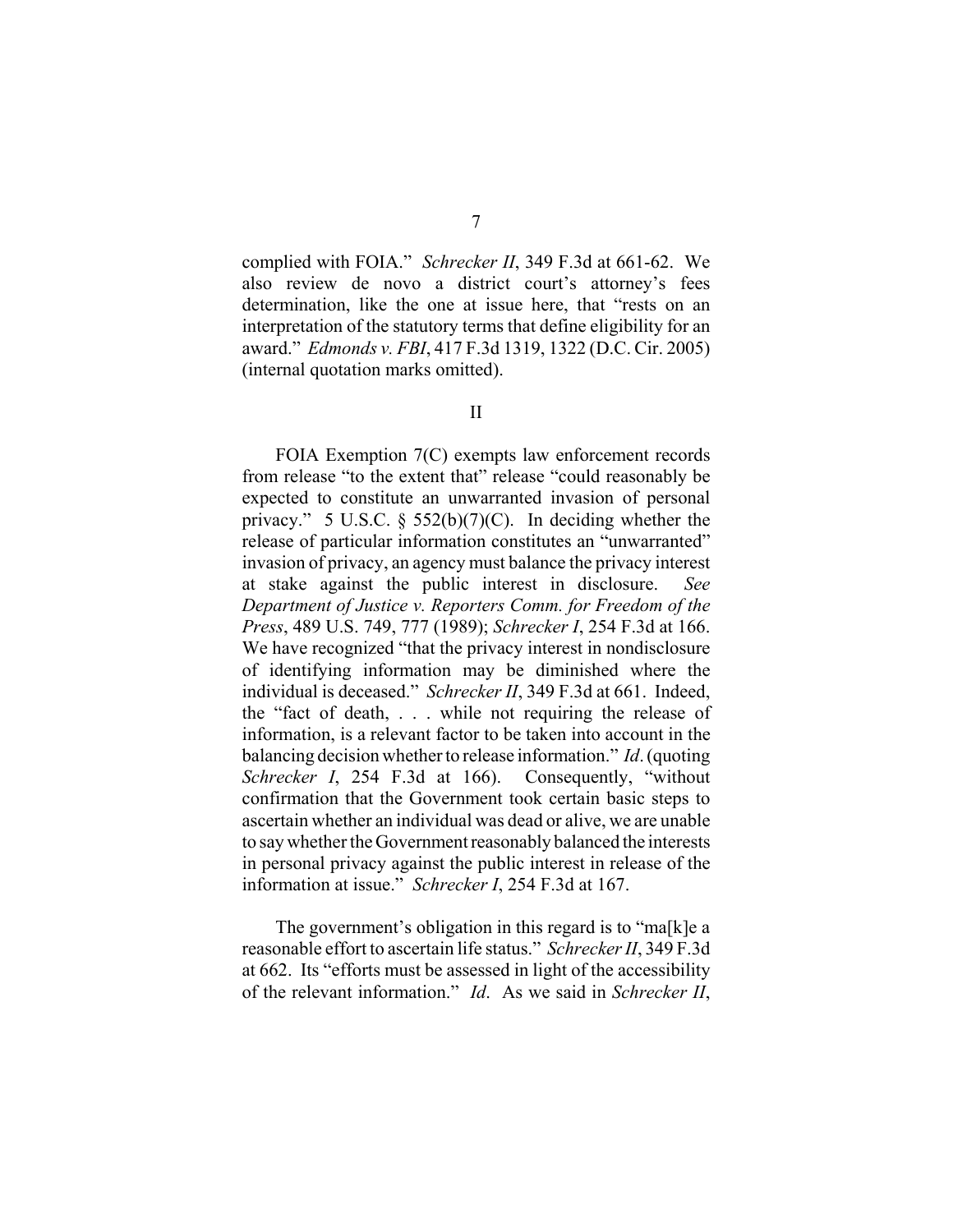complied with FOIA." *Schrecker II*, 349 F.3d at 661-62. We also review de novo a district court's attorney's fees determination, like the one at issue here, that "rests on an interpretation of the statutory terms that define eligibility for an award." *Edmonds v. FBI*, 417 F.3d 1319, 1322 (D.C. Cir. 2005) (internal quotation marks omitted).

FOIA Exemption 7(C) exempts law enforcement records from release "to the extent that" release "could reasonably be expected to constitute an unwarranted invasion of personal privacy." 5 U.S.C.  $\S$  552(b)(7)(C). In deciding whether the release of particular information constitutes an "unwarranted" invasion of privacy, an agency must balance the privacy interest at stake against the public interest in disclosure. *See Department of Justice v. Reporters Comm. for Freedom of the Press*, 489 U.S. 749, 777 (1989); *Schrecker I*, 254 F.3d at 166. We have recognized "that the privacy interest in nondisclosure of identifying information may be diminished where the individual is deceased." *Schrecker II*, 349 F.3d at 661. Indeed, the "fact of death, . . . while not requiring the release of information, is a relevant factor to be taken into account in the balancing decision whether to release information." *Id*. (quoting *Schrecker I*, 254 F.3d at 166). Consequently, "without confirmation that the Government took certain basic steps to ascertain whether an individual was dead or alive, we are unable to say whether the Government reasonably balanced the interests in personal privacy against the public interest in release of the information at issue." *Schrecker I*, 254 F.3d at 167.

The government's obligation in this regard is to "ma[k]e a reasonable effort to ascertain life status." *Schrecker II*, 349 F.3d at 662. Its "efforts must be assessed in light of the accessibility of the relevant information." *Id*. As we said in *Schrecker II*,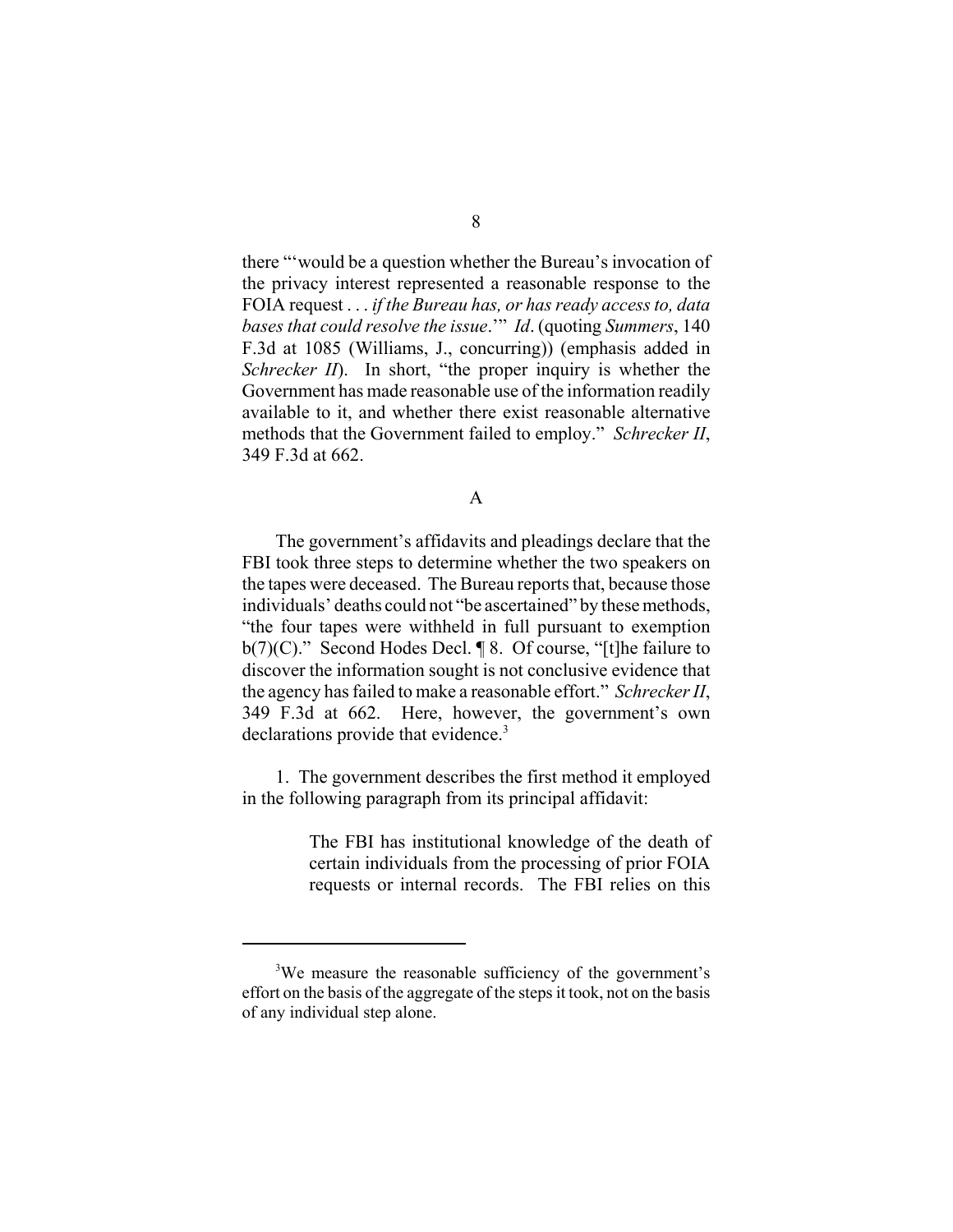there "'would be a question whether the Bureau's invocation of the privacy interest represented a reasonable response to the FOIA request . . . *if the Bureau has, or has ready access to, data bases that could resolve the issue*.'" *Id*. (quoting *Summers*, 140 F.3d at 1085 (Williams, J., concurring)) (emphasis added in *Schrecker II*). In short, "the proper inquiry is whether the Government has made reasonable use of the information readily available to it, and whether there exist reasonable alternative methods that the Government failed to employ." *Schrecker II*, 349 F.3d at 662.

A

The government's affidavits and pleadings declare that the FBI took three steps to determine whether the two speakers on the tapes were deceased. The Bureau reports that, because those individuals' deaths could not "be ascertained" by these methods, "the four tapes were withheld in full pursuant to exemption b(7)(C)." Second Hodes Decl. ¶ 8. Of course, "[t]he failure to discover the information sought is not conclusive evidence that the agency has failed to make a reasonable effort." *Schrecker II*, 349 F.3d at 662. Here, however, the government's own declarations provide that evidence.<sup>3</sup>

1. The government describes the first method it employed in the following paragraph from its principal affidavit:

> The FBI has institutional knowledge of the death of certain individuals from the processing of prior FOIA requests or internal records. The FBI relies on this

<sup>&</sup>lt;sup>3</sup>We measure the reasonable sufficiency of the government's effort on the basis of the aggregate of the steps it took, not on the basis of any individual step alone.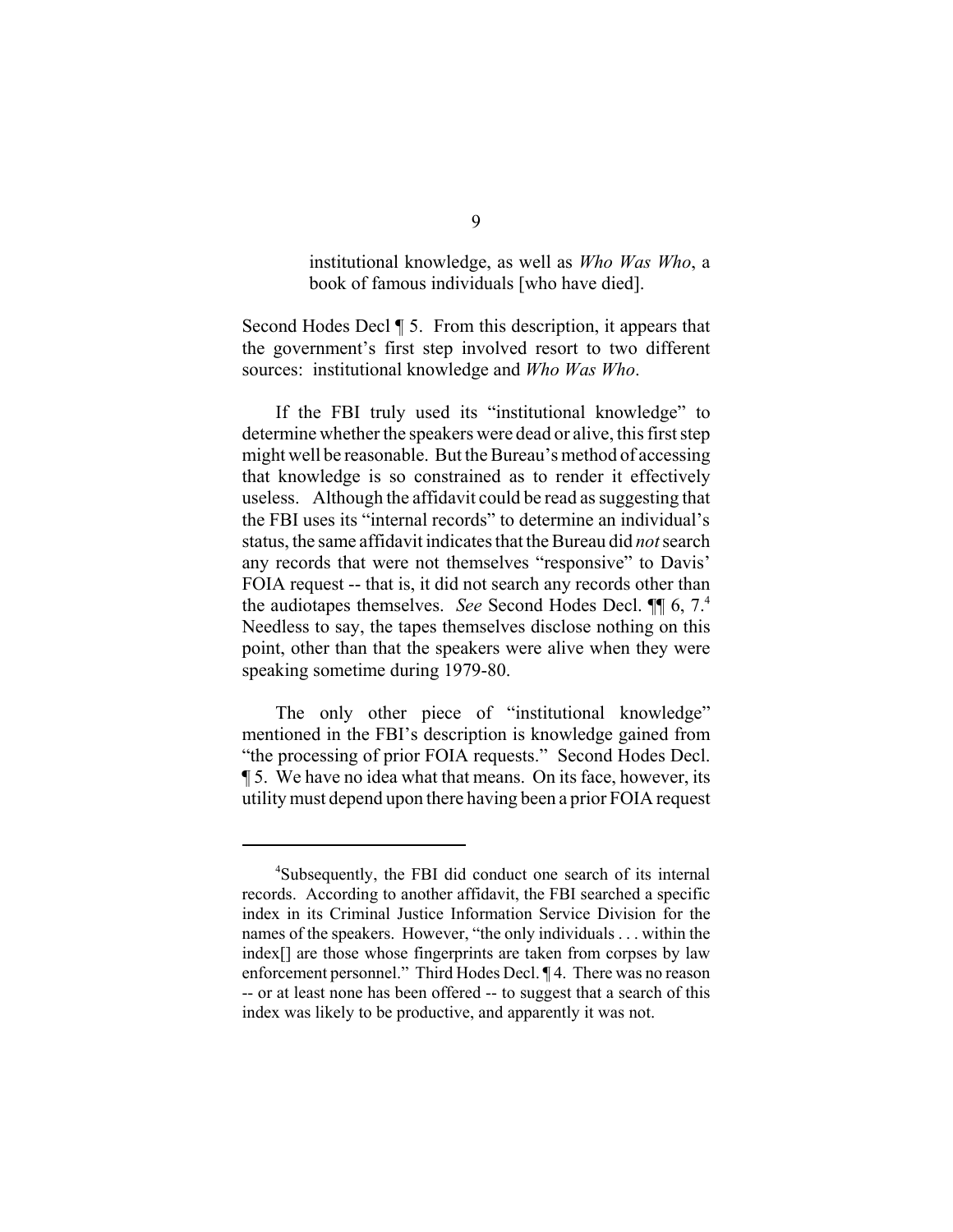institutional knowledge, as well as *Who Was Who*, a book of famous individuals [who have died].

Second Hodes Decl ¶ 5. From this description, it appears that the government's first step involved resort to two different sources: institutional knowledge and *Who Was Who*.

If the FBI truly used its "institutional knowledge" to determine whether the speakers were dead or alive, this first step might well be reasonable. But the Bureau's method of accessing that knowledge is so constrained as to render it effectively useless. Although the affidavit could be read as suggesting that the FBI uses its "internal records" to determine an individual's status, the same affidavit indicates that the Bureau did *not* search any records that were not themselves "responsive" to Davis' FOIA request -- that is, it did not search any records other than the audiotapes themselves. *See* Second Hodes Decl. ¶¶ 6, 7.4 Needless to say, the tapes themselves disclose nothing on this point, other than that the speakers were alive when they were speaking sometime during 1979-80.

The only other piece of "institutional knowledge" mentioned in the FBI's description is knowledge gained from "the processing of prior FOIA requests." Second Hodes Decl. ¶ 5. We have no idea what that means. On its face, however, its utility must depend upon there having been a prior FOIA request

<sup>4</sup> Subsequently, the FBI did conduct one search of its internal records. According to another affidavit, the FBI searched a specific index in its Criminal Justice Information Service Division for the names of the speakers. However, "the only individuals . . . within the index[] are those whose fingerprints are taken from corpses by law enforcement personnel." Third Hodes Decl. ¶ 4. There was no reason -- or at least none has been offered -- to suggest that a search of this index was likely to be productive, and apparently it was not.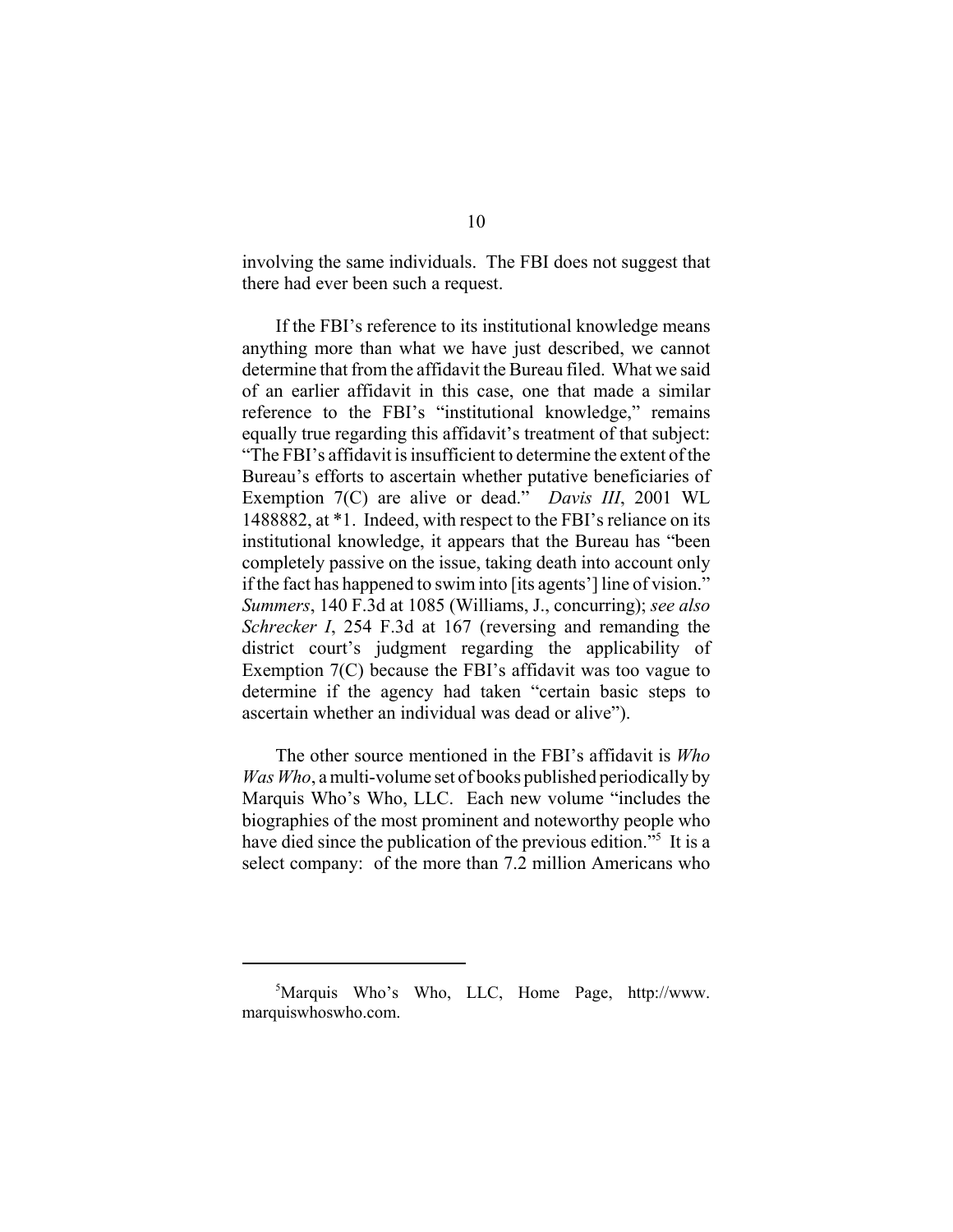involving the same individuals. The FBI does not suggest that there had ever been such a request.

If the FBI's reference to its institutional knowledge means anything more than what we have just described, we cannot determine that from the affidavit the Bureau filed. What we said of an earlier affidavit in this case, one that made a similar reference to the FBI's "institutional knowledge," remains equally true regarding this affidavit's treatment of that subject: "The FBI's affidavit is insufficient to determine the extent of the Bureau's efforts to ascertain whether putative beneficiaries of Exemption 7(C) are alive or dead." *Davis III*, 2001 WL 1488882, at \*1. Indeed, with respect to the FBI's reliance on its institutional knowledge, it appears that the Bureau has "been completely passive on the issue, taking death into account only if the fact has happened to swim into [its agents'] line of vision." *Summers*, 140 F.3d at 1085 (Williams, J., concurring); *see also Schrecker I*, 254 F.3d at 167 (reversing and remanding the district court's judgment regarding the applicability of Exemption 7(C) because the FBI's affidavit was too vague to determine if the agency had taken "certain basic steps to ascertain whether an individual was dead or alive").

The other source mentioned in the FBI's affidavit is *Who Was Who*, a multi-volume set of books published periodically by Marquis Who's Who, LLC. Each new volume "includes the biographies of the most prominent and noteworthy people who have died since the publication of the previous edition."<sup>5</sup> It is a select company: of the more than 7.2 million Americans who

<sup>5</sup> Marquis Who's Who, LLC, Home Page, http://www. marquiswhoswho.com.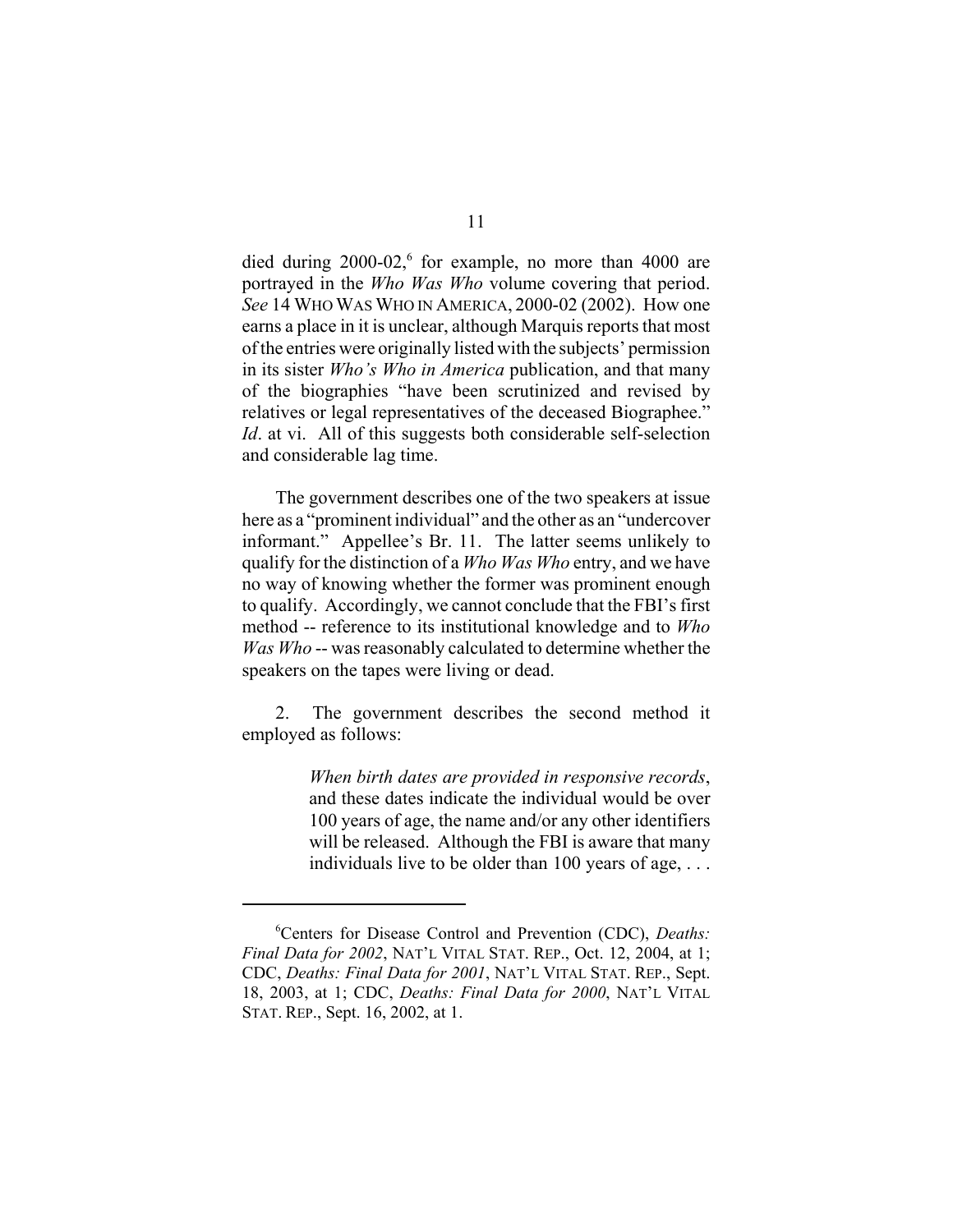died during  $2000-02$ , for example, no more than 4000 are portrayed in the *Who Was Who* volume covering that period. *See* 14 WHO WAS WHO IN AMERICA, 2000-02 (2002). How one earns a place in it is unclear, although Marquis reports that most of the entries were originally listed with the subjects' permission in its sister *Who's Who in America* publication, and that many of the biographies "have been scrutinized and revised by relatives or legal representatives of the deceased Biographee." *Id*. at vi. All of this suggests both considerable self-selection and considerable lag time.

The government describes one of the two speakers at issue here as a "prominent individual" and the other as an "undercover informant." Appellee's Br. 11. The latter seems unlikely to qualify for the distinction of a *Who Was Who* entry, and we have no way of knowing whether the former was prominent enough to qualify. Accordingly, we cannot conclude that the FBI's first method -- reference to its institutional knowledge and to *Who Was Who* -- was reasonably calculated to determine whether the speakers on the tapes were living or dead.

2. The government describes the second method it employed as follows:

> *When birth dates are provided in responsive records*, and these dates indicate the individual would be over 100 years of age, the name and/or any other identifiers will be released. Although the FBI is aware that many individuals live to be older than 100 years of age, ...

<sup>6</sup> Centers for Disease Control and Prevention (CDC), *Deaths: Final Data for 2002*, NAT'L VITAL STAT. REP., Oct. 12, 2004, at 1; CDC, *Deaths: Final Data for 2001*, NAT'L VITAL STAT. REP., Sept. 18, 2003, at 1; CDC, *Deaths: Final Data for 2000*, NAT'L VITAL STAT. REP., Sept. 16, 2002, at 1.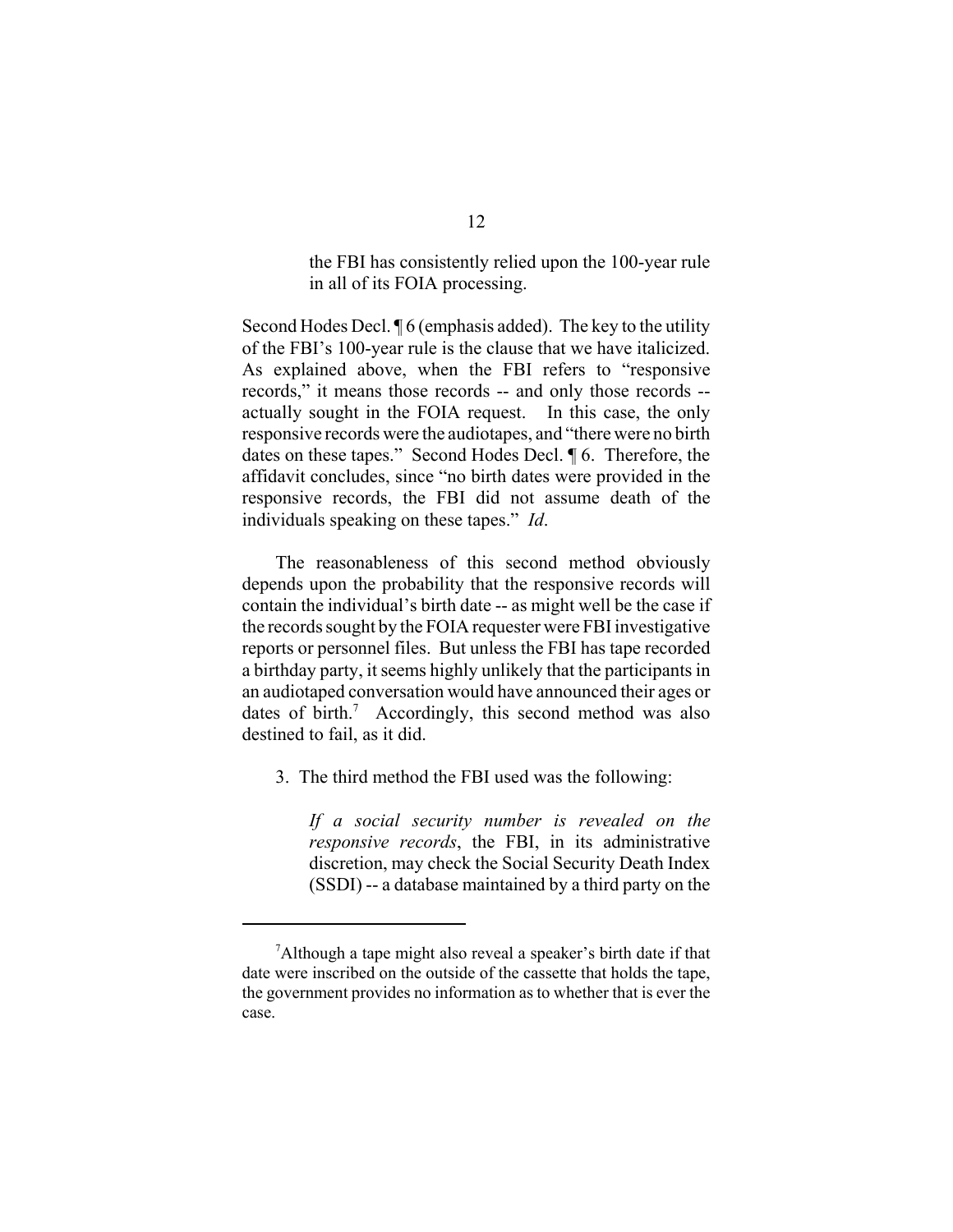the FBI has consistently relied upon the 100-year rule in all of its FOIA processing.

Second Hodes Decl. ¶ 6 (emphasis added). The key to the utility of the FBI's 100-year rule is the clause that we have italicized. As explained above, when the FBI refers to "responsive records," it means those records -- and only those records - actually sought in the FOIA request. In this case, the only responsive records were the audiotapes, and "there were no birth dates on these tapes." Second Hodes Decl. ¶ 6. Therefore, the affidavit concludes, since "no birth dates were provided in the responsive records, the FBI did not assume death of the individuals speaking on these tapes." *Id*.

The reasonableness of this second method obviously depends upon the probability that the responsive records will contain the individual's birth date -- as might well be the case if the records sought by the FOIA requester were FBI investigative reports or personnel files. But unless the FBI has tape recorded a birthday party, it seems highly unlikely that the participants in an audiotaped conversation would have announced their ages or dates of birth.<sup>7</sup> Accordingly, this second method was also destined to fail, as it did.

3. The third method the FBI used was the following:

*If a social security number is revealed on the responsive records*, the FBI, in its administrative discretion, may check the Social Security Death Index (SSDI) -- a database maintained by a third party on the

<sup>&</sup>lt;sup>7</sup>Although a tape might also reveal a speaker's birth date if that date were inscribed on the outside of the cassette that holds the tape, the government provides no information as to whether that is ever the case.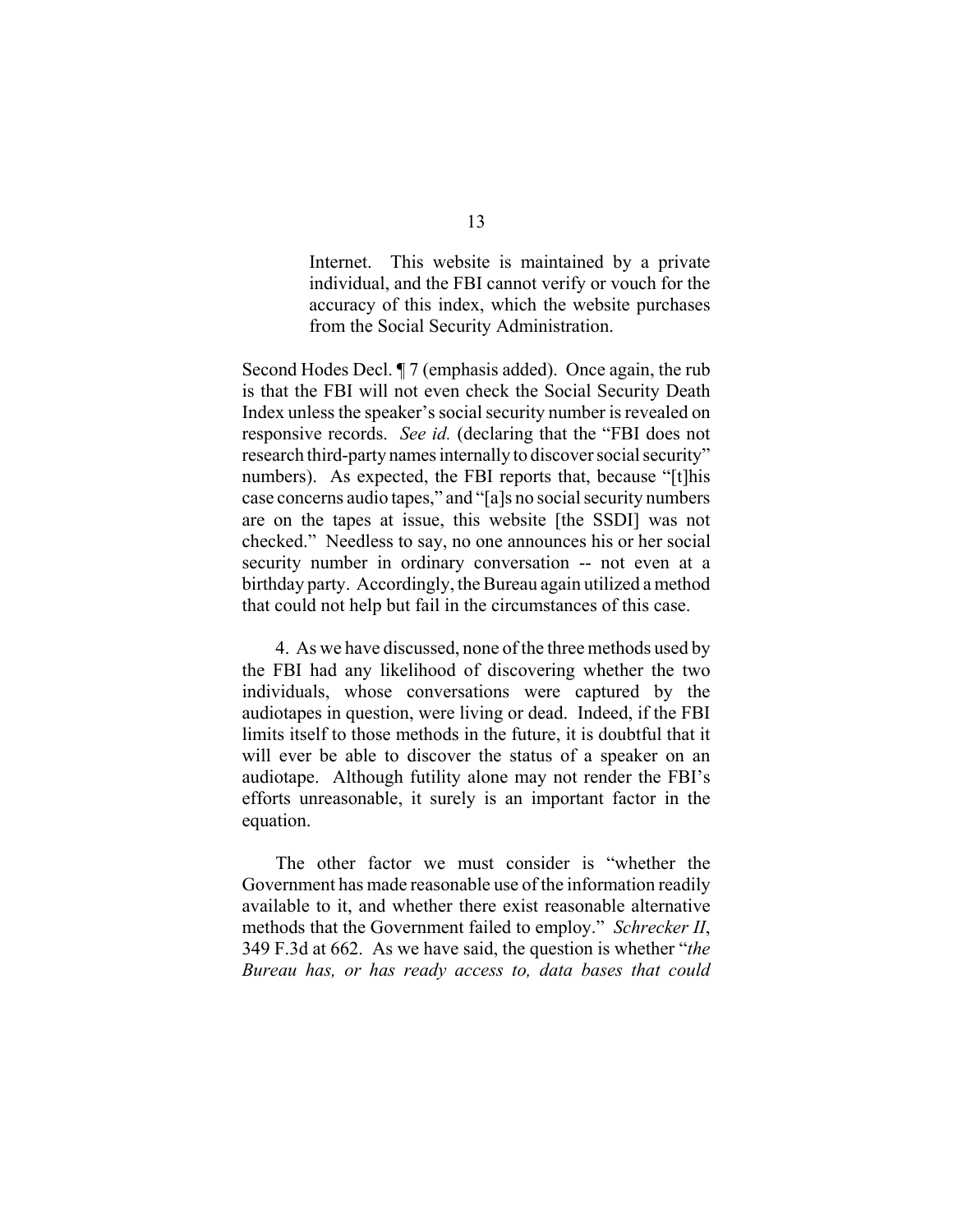Internet. This website is maintained by a private individual, and the FBI cannot verify or vouch for the accuracy of this index, which the website purchases from the Social Security Administration.

Second Hodes Decl. ¶ 7 (emphasis added). Once again, the rub is that the FBI will not even check the Social Security Death Index unless the speaker's social security number is revealed on responsive records. *See id.* (declaring that the "FBI does not research third-party names internally to discover social security" numbers). As expected, the FBI reports that, because "[t]his case concerns audio tapes," and "[a]s no social security numbers are on the tapes at issue, this website [the SSDI] was not checked." Needless to say, no one announces his or her social security number in ordinary conversation -- not even at a birthday party. Accordingly, the Bureau again utilized a method that could not help but fail in the circumstances of this case.

4. As we have discussed, none of the three methods used by the FBI had any likelihood of discovering whether the two individuals, whose conversations were captured by the audiotapes in question, were living or dead. Indeed, if the FBI limits itself to those methods in the future, it is doubtful that it will ever be able to discover the status of a speaker on an audiotape. Although futility alone may not render the FBI's efforts unreasonable, it surely is an important factor in the equation.

The other factor we must consider is "whether the Government has made reasonable use of the information readily available to it, and whether there exist reasonable alternative methods that the Government failed to employ." *Schrecker II*, 349 F.3d at 662. As we have said, the question is whether "*the Bureau has, or has ready access to, data bases that could*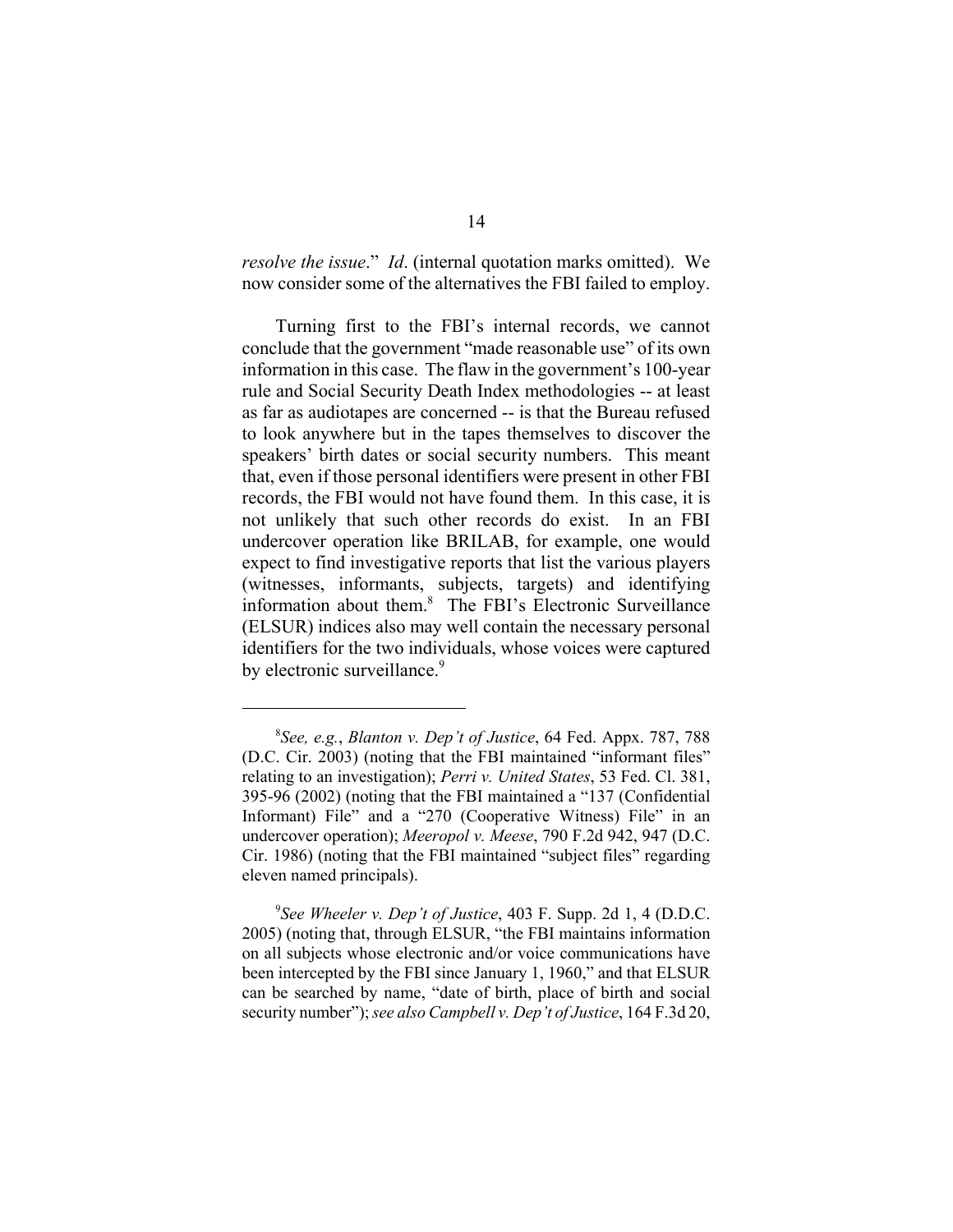*resolve the issue*." *Id*. (internal quotation marks omitted). We now consider some of the alternatives the FBI failed to employ.

Turning first to the FBI's internal records, we cannot conclude that the government "made reasonable use" of its own information in this case. The flaw in the government's 100-year rule and Social Security Death Index methodologies -- at least as far as audiotapes are concerned -- is that the Bureau refused to look anywhere but in the tapes themselves to discover the speakers' birth dates or social security numbers. This meant that, even if those personal identifiers were present in other FBI records, the FBI would not have found them. In this case, it is not unlikely that such other records do exist. In an FBI undercover operation like BRILAB, for example, one would expect to find investigative reports that list the various players (witnesses, informants, subjects, targets) and identifying information about them.8 The FBI's Electronic Surveillance (ELSUR) indices also may well contain the necessary personal identifiers for the two individuals, whose voices were captured by electronic surveillance.<sup>9</sup>

<sup>8</sup> *See, e.g.*, *Blanton v. Dep't of Justice*, 64 Fed. Appx. 787, 788 (D.C. Cir. 2003) (noting that the FBI maintained "informant files" relating to an investigation); *Perri v. United States*, 53 Fed. Cl. 381, 395-96 (2002) (noting that the FBI maintained a "137 (Confidential Informant) File" and a "270 (Cooperative Witness) File" in an undercover operation); *Meeropol v. Meese*, 790 F.2d 942, 947 (D.C. Cir. 1986) (noting that the FBI maintained "subject files" regarding eleven named principals).

<sup>9</sup> *See Wheeler v. Dep't of Justice*, 403 F. Supp. 2d 1, 4 (D.D.C. 2005) (noting that, through ELSUR, "the FBI maintains information on all subjects whose electronic and/or voice communications have been intercepted by the FBI since January 1, 1960," and that ELSUR can be searched by name, "date of birth, place of birth and social security number"); *see also Campbell v. Dep't of Justice*, 164 F.3d 20,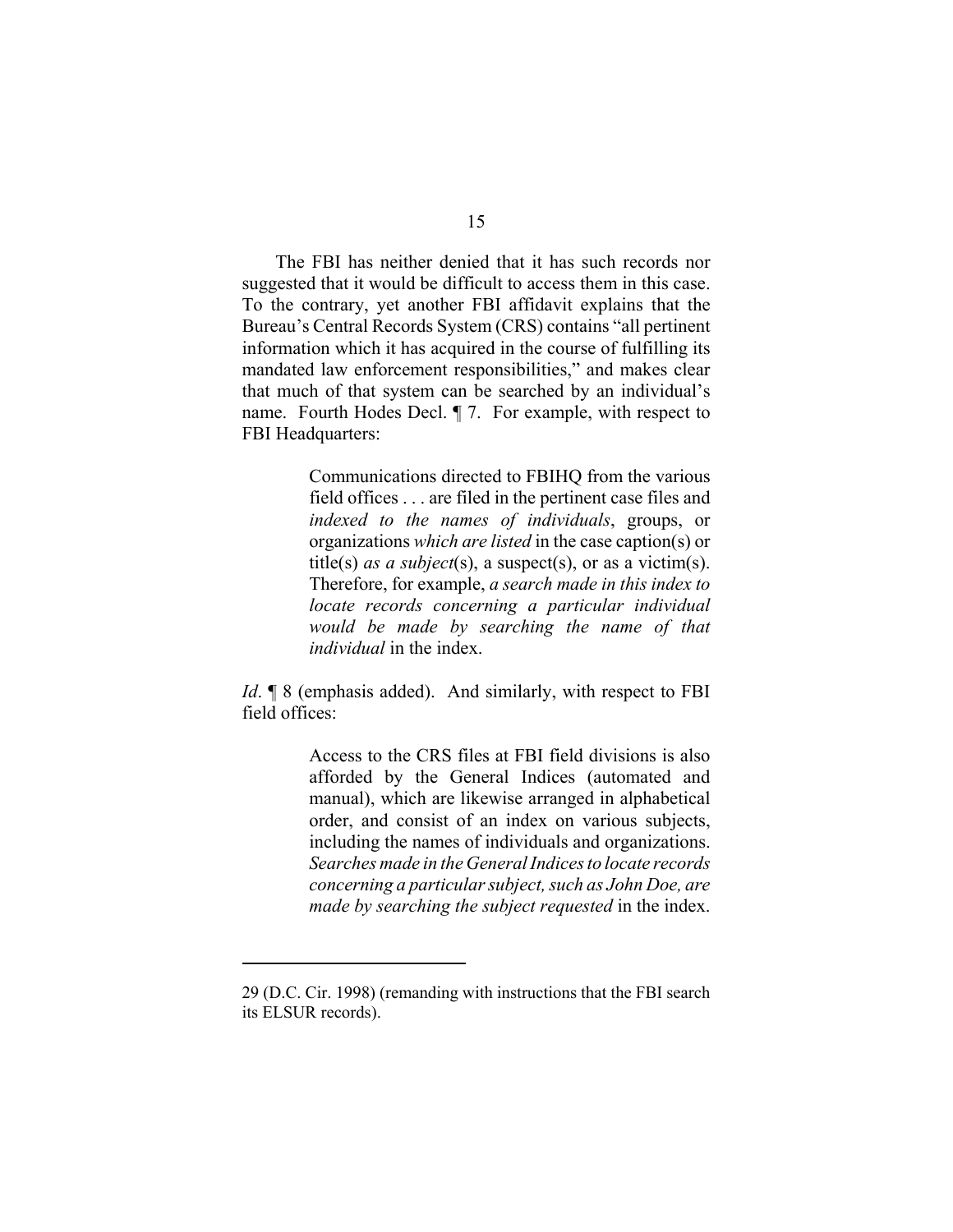The FBI has neither denied that it has such records nor suggested that it would be difficult to access them in this case. To the contrary, yet another FBI affidavit explains that the Bureau's Central Records System (CRS) contains "all pertinent information which it has acquired in the course of fulfilling its mandated law enforcement responsibilities," and makes clear that much of that system can be searched by an individual's name. Fourth Hodes Decl. ¶ 7. For example, with respect to FBI Headquarters:

> Communications directed to FBIHQ from the various field offices . . . are filed in the pertinent case files and *indexed to the names of individuals*, groups, or organizations *which are listed* in the case caption(s) or title(s) *as a subject*(s), a suspect(s), or as a victim(s). Therefore, for example, *a search made in this index to locate records concerning a particular individual would be made by searching the name of that individual* in the index.

*Id*. **¶** 8 (emphasis added). And similarly, with respect to FBI field offices:

> Access to the CRS files at FBI field divisions is also afforded by the General Indices (automated and manual), which are likewise arranged in alphabetical order, and consist of an index on various subjects, including the names of individuals and organizations. *Searches made in the General Indices to locate records concerning a particular subject, such as John Doe, are made by searching the subject requested* in the index.

<sup>29 (</sup>D.C. Cir. 1998) (remanding with instructions that the FBI search its ELSUR records).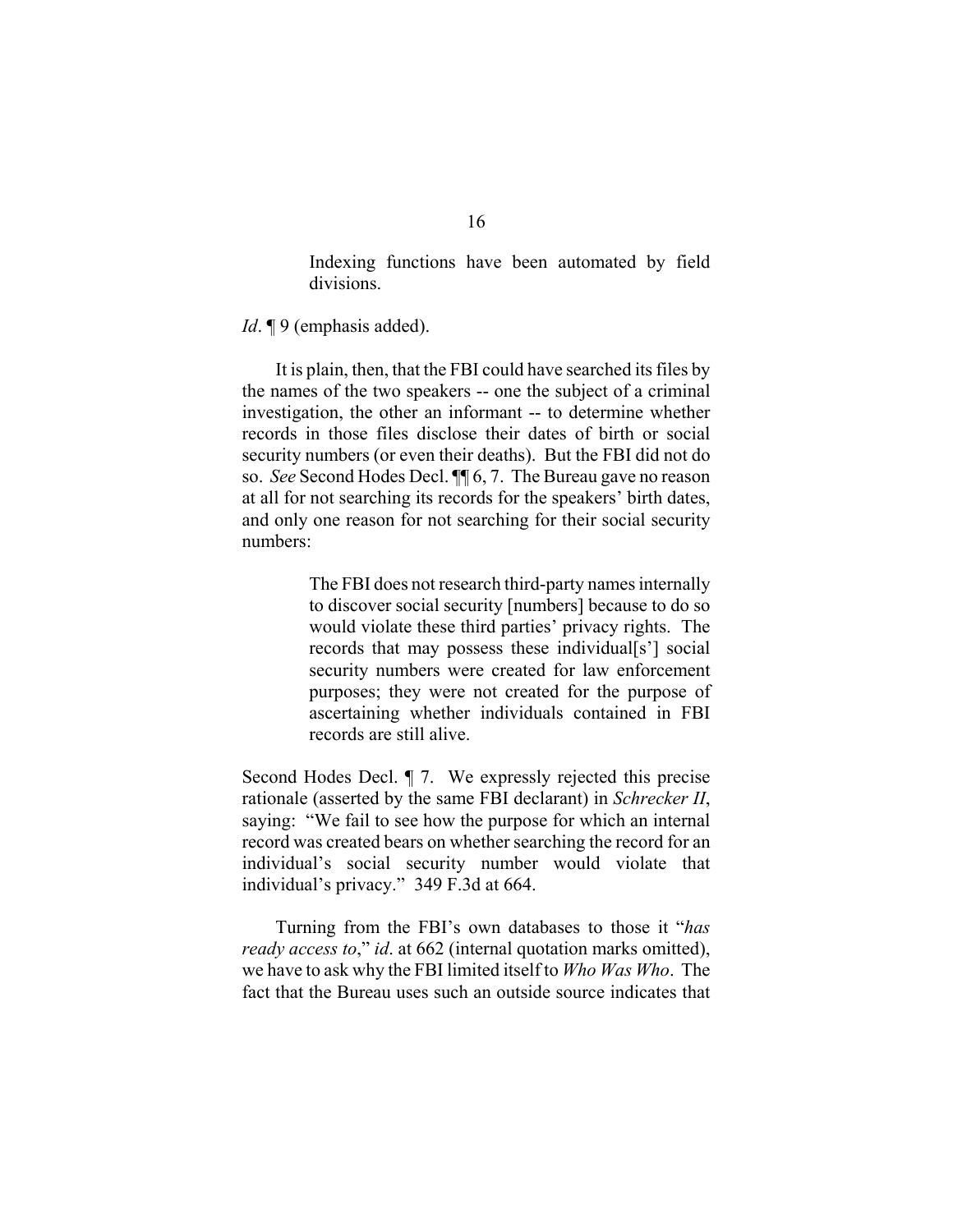Indexing functions have been automated by field divisions.

*Id*. **[9** (emphasis added).

It is plain, then, that the FBI could have searched its files by the names of the two speakers -- one the subject of a criminal investigation, the other an informant -- to determine whether records in those files disclose their dates of birth or social security numbers (or even their deaths). But the FBI did not do so. *See* Second Hodes Decl. ¶¶ 6, 7. The Bureau gave no reason at all for not searching its records for the speakers' birth dates, and only one reason for not searching for their social security numbers:

> The FBI does not research third-party names internally to discover social security [numbers] because to do so would violate these third parties' privacy rights. The records that may possess these individual[s'] social security numbers were created for law enforcement purposes; they were not created for the purpose of ascertaining whether individuals contained in FBI records are still alive.

Second Hodes Decl. ¶ 7. We expressly rejected this precise rationale (asserted by the same FBI declarant) in *Schrecker II*, saying: "We fail to see how the purpose for which an internal record was created bears on whether searching the record for an individual's social security number would violate that individual's privacy." 349 F.3d at 664.

Turning from the FBI's own databases to those it "*has ready access to," id.* at 662 (internal quotation marks omitted), we have to ask why the FBI limited itself to *Who Was Who*. The fact that the Bureau uses such an outside source indicates that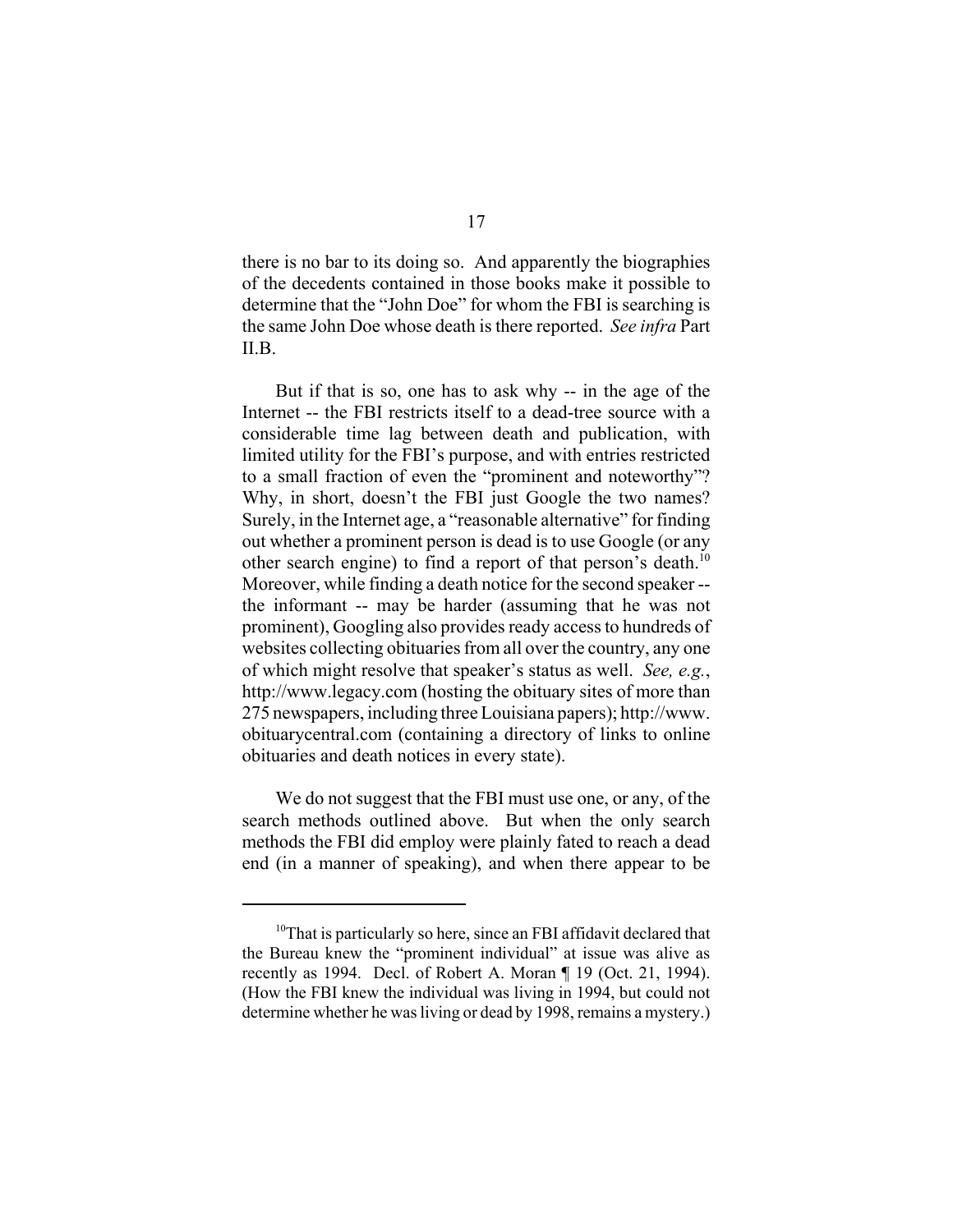there is no bar to its doing so. And apparently the biographies of the decedents contained in those books make it possible to determine that the "John Doe" for whom the FBI is searching is the same John Doe whose death is there reported. *See infra* Part II.B.

But if that is so, one has to ask why -- in the age of the Internet -- the FBI restricts itself to a dead-tree source with a considerable time lag between death and publication, with limited utility for the FBI's purpose, and with entries restricted to a small fraction of even the "prominent and noteworthy"? Why, in short, doesn't the FBI just Google the two names? Surely, in the Internet age, a "reasonable alternative" for finding out whether a prominent person is dead is to use Google (or any other search engine) to find a report of that person's death.<sup>10</sup> Moreover, while finding a death notice for the second speaker - the informant -- may be harder (assuming that he was not prominent), Googling also provides ready access to hundreds of websites collecting obituaries from all over the country, any one of which might resolve that speaker's status as well. *See, e.g.*, http://www.legacy.com (hosting the obituary sites of more than 275 newspapers, including three Louisiana papers); http://www. obituarycentral.com (containing a directory of links to online obituaries and death notices in every state).

We do not suggest that the FBI must use one, or any, of the search methods outlined above. But when the only search methods the FBI did employ were plainly fated to reach a dead end (in a manner of speaking), and when there appear to be

 $10$ That is particularly so here, since an FBI affidavit declared that the Bureau knew the "prominent individual" at issue was alive as recently as 1994. Decl. of Robert A. Moran ¶ 19 (Oct. 21, 1994). (How the FBI knew the individual was living in 1994, but could not determine whether he was living or dead by 1998, remains a mystery.)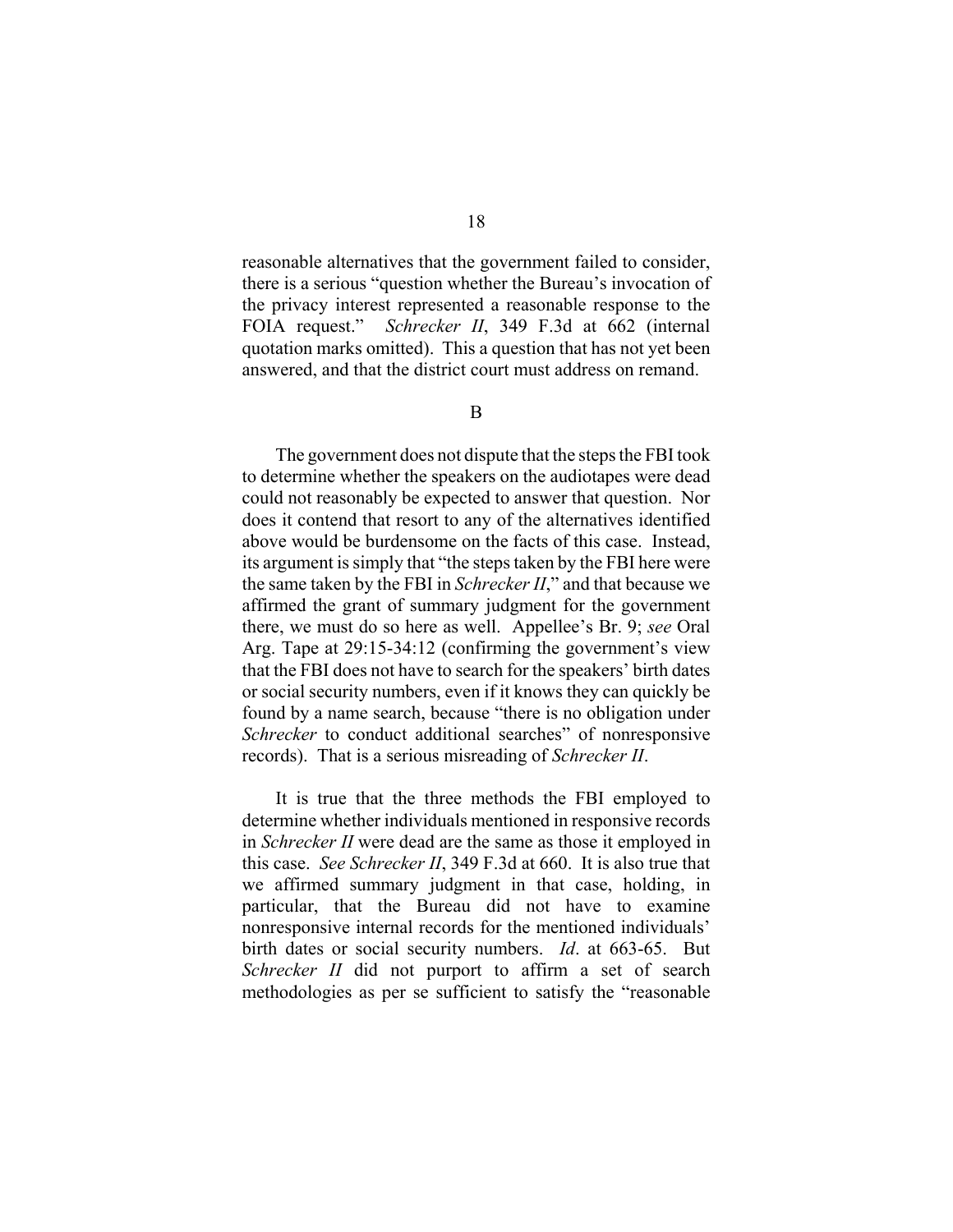reasonable alternatives that the government failed to consider, there is a serious "question whether the Bureau's invocation of the privacy interest represented a reasonable response to the FOIA request." *Schrecker II*, 349 F.3d at 662 (internal quotation marks omitted). This a question that has not yet been answered, and that the district court must address on remand.

B

The government does not dispute that the steps the FBI took to determine whether the speakers on the audiotapes were dead could not reasonably be expected to answer that question. Nor does it contend that resort to any of the alternatives identified above would be burdensome on the facts of this case. Instead, its argument is simply that "the steps taken by the FBI here were the same taken by the FBI in *Schrecker II*," and that because we affirmed the grant of summary judgment for the government there, we must do so here as well. Appellee's Br. 9; *see* Oral Arg. Tape at 29:15-34:12 (confirming the government's view that the FBI does not have to search for the speakers' birth dates or social security numbers, even if it knows they can quickly be found by a name search, because "there is no obligation under *Schrecker* to conduct additional searches" of nonresponsive records). That is a serious misreading of *Schrecker II*.

It is true that the three methods the FBI employed to determine whether individuals mentioned in responsive records in *Schrecker II* were dead are the same as those it employed in this case. *See Schrecker II*, 349 F.3d at 660. It is also true that we affirmed summary judgment in that case, holding, in particular, that the Bureau did not have to examine nonresponsive internal records for the mentioned individuals' birth dates or social security numbers. *Id*. at 663-65. But *Schrecker II* did not purport to affirm a set of search methodologies as per se sufficient to satisfy the "reasonable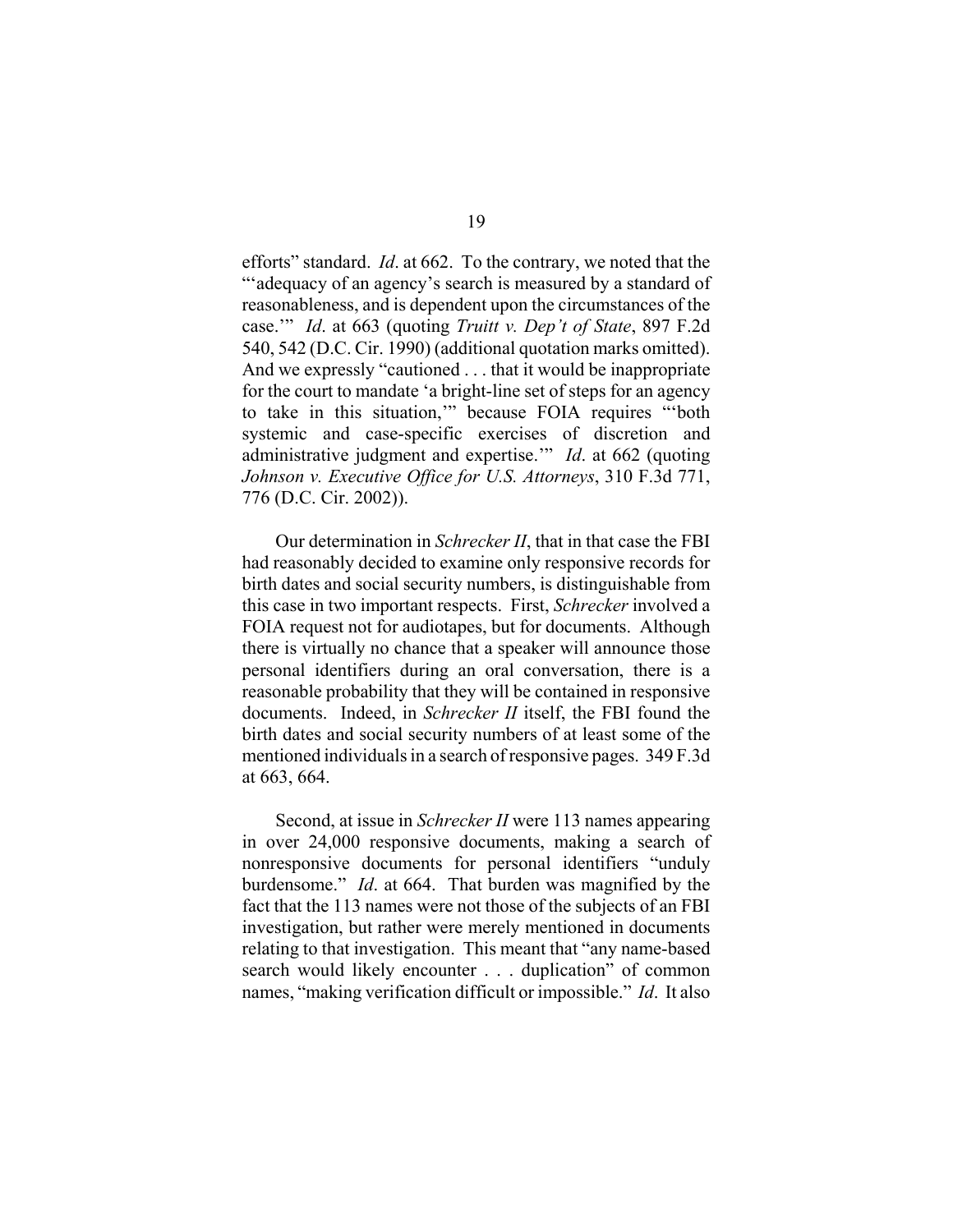efforts" standard. *Id*. at 662. To the contrary, we noted that the "adequacy of an agency's search is measured by a standard of reasonableness, and is dependent upon the circumstances of the case.'" *Id*. at 663 (quoting *Truitt v. Dep't of State*, 897 F.2d 540, 542 (D.C. Cir. 1990) (additional quotation marks omitted). And we expressly "cautioned . . . that it would be inappropriate for the court to mandate 'a bright-line set of steps for an agency to take in this situation,'" because FOIA requires "'both systemic and case-specific exercises of discretion and administrative judgment and expertise.'" *Id*. at 662 (quoting *Johnson v. Executive Office for U.S. Attorneys*, 310 F.3d 771, 776 (D.C. Cir. 2002)).

Our determination in *Schrecker II*, that in that case the FBI had reasonably decided to examine only responsive records for birth dates and social security numbers, is distinguishable from this case in two important respects. First, *Schrecker* involved a FOIA request not for audiotapes, but for documents. Although there is virtually no chance that a speaker will announce those personal identifiers during an oral conversation, there is a reasonable probability that they will be contained in responsive documents. Indeed, in *Schrecker II* itself, the FBI found the birth dates and social security numbers of at least some of the mentioned individuals in a search of responsive pages. 349 F.3d at 663, 664.

Second, at issue in *Schrecker II* were 113 names appearing in over 24,000 responsive documents, making a search of nonresponsive documents for personal identifiers "unduly burdensome." *Id*. at 664. That burden was magnified by the fact that the 113 names were not those of the subjects of an FBI investigation, but rather were merely mentioned in documents relating to that investigation. This meant that "any name-based search would likely encounter . . . duplication" of common names, "making verification difficult or impossible." *Id*. It also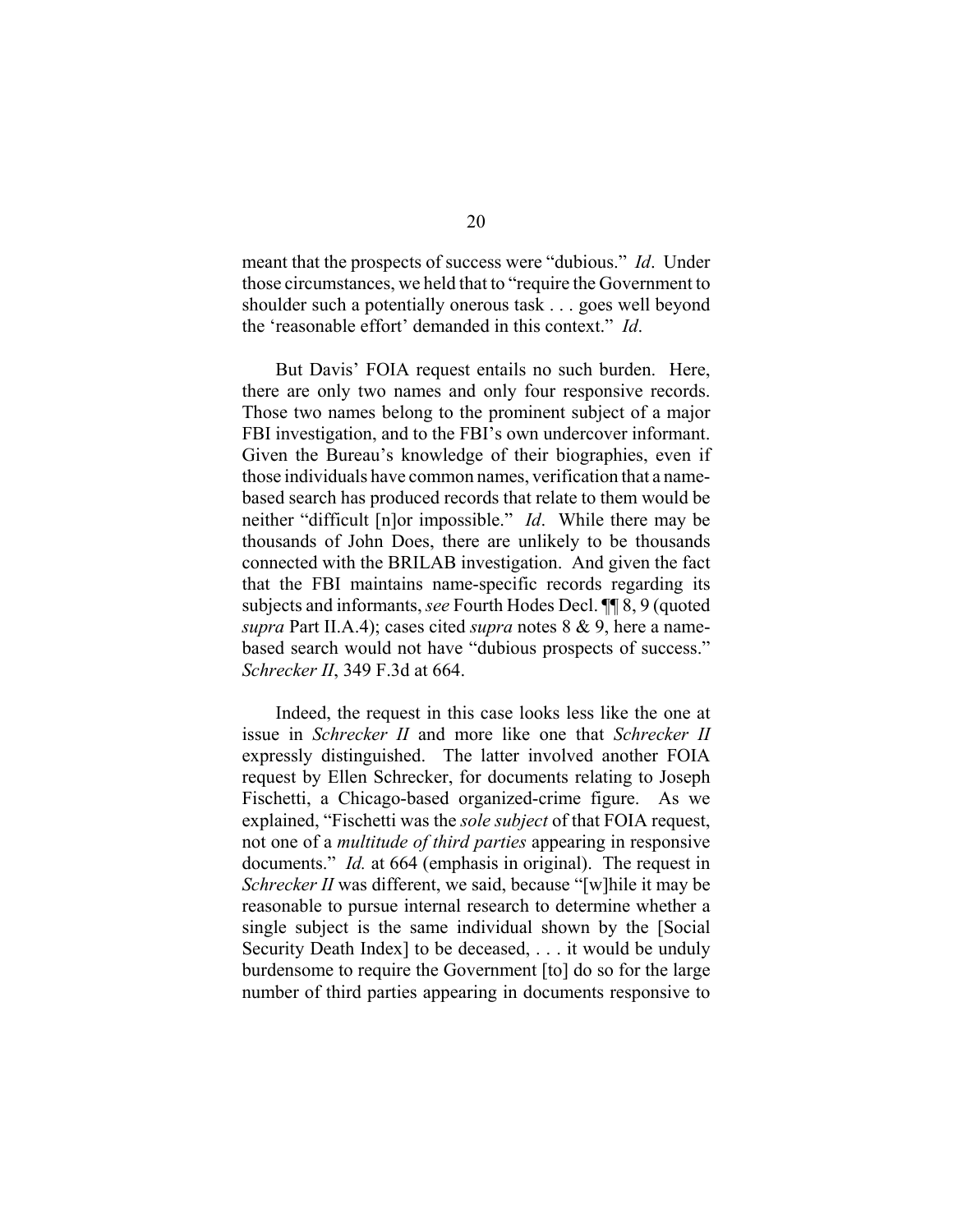meant that the prospects of success were "dubious." *Id*. Under those circumstances, we held that to "require the Government to shoulder such a potentially onerous task . . . goes well beyond the 'reasonable effort' demanded in this context." *Id*.

But Davis' FOIA request entails no such burden. Here, there are only two names and only four responsive records. Those two names belong to the prominent subject of a major FBI investigation, and to the FBI's own undercover informant. Given the Bureau's knowledge of their biographies, even if those individuals have common names, verification that a namebased search has produced records that relate to them would be neither "difficult [n]or impossible." *Id*. While there may be thousands of John Does, there are unlikely to be thousands connected with the BRILAB investigation. And given the fact that the FBI maintains name-specific records regarding its subjects and informants, *see* Fourth Hodes Decl. ¶¶ 8, 9 (quoted *supra* Part II.A.4); cases cited *supra* notes 8 & 9, here a namebased search would not have "dubious prospects of success." *Schrecker II*, 349 F.3d at 664.

Indeed, the request in this case looks less like the one at issue in *Schrecker II* and more like one that *Schrecker II* expressly distinguished. The latter involved another FOIA request by Ellen Schrecker, for documents relating to Joseph Fischetti, a Chicago-based organized-crime figure. As we explained, "Fischetti was the *sole subject* of that FOIA request, not one of a *multitude of third parties* appearing in responsive documents." *Id.* at 664 (emphasis in original). The request in *Schrecker II* was different, we said, because "[w]hile it may be reasonable to pursue internal research to determine whether a single subject is the same individual shown by the [Social Security Death Index] to be deceased, . . . it would be unduly burdensome to require the Government [to] do so for the large number of third parties appearing in documents responsive to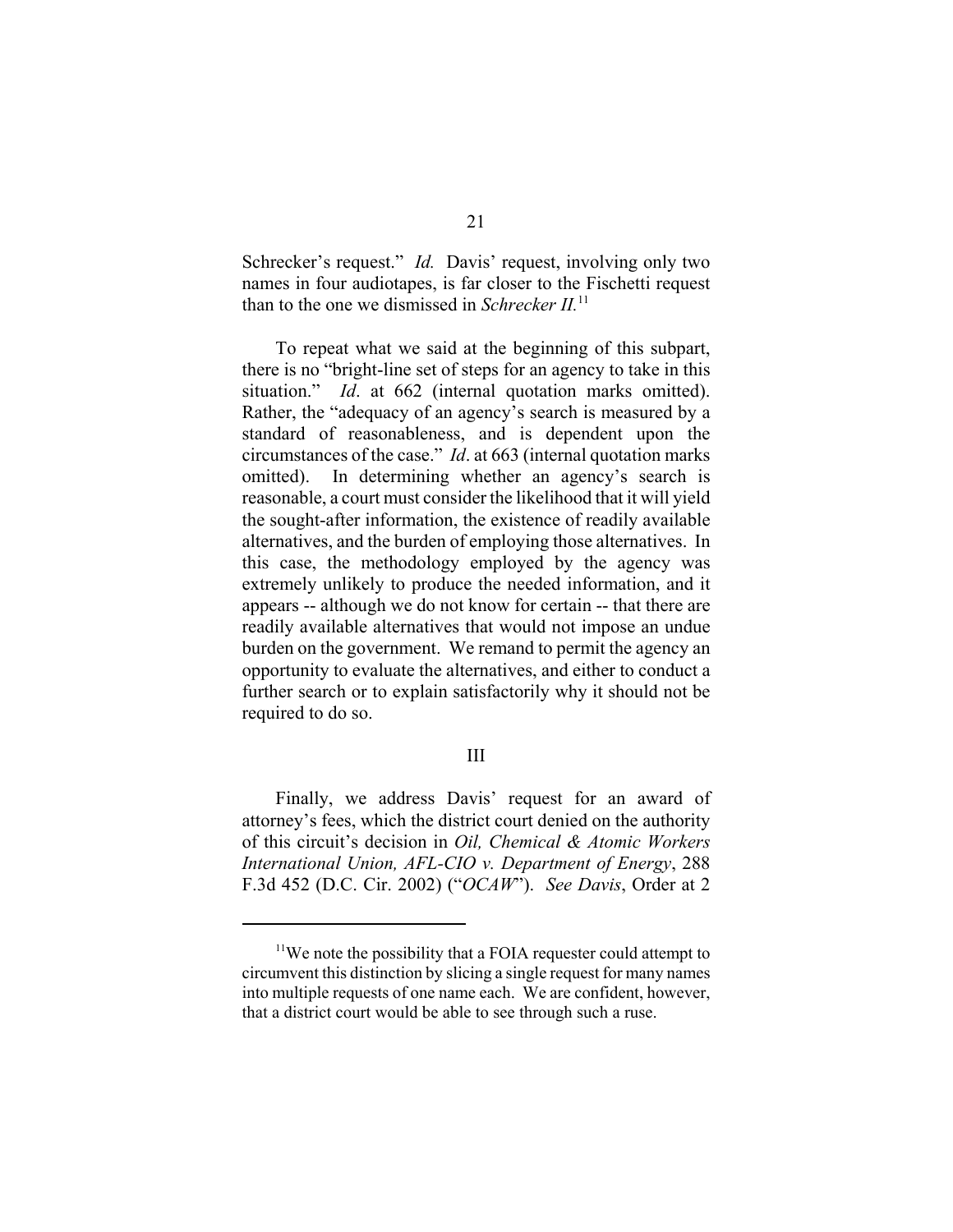Schrecker's request." *Id.* Davis' request, involving only two names in four audiotapes, is far closer to the Fischetti request than to the one we dismissed in *Schrecker II.*<sup>11</sup>

To repeat what we said at the beginning of this subpart, there is no "bright-line set of steps for an agency to take in this situation." *Id*. at 662 (internal quotation marks omitted). Rather, the "adequacy of an agency's search is measured by a standard of reasonableness, and is dependent upon the circumstances of the case." *Id*. at 663 (internal quotation marks omitted). In determining whether an agency's search is reasonable, a court must consider the likelihood that it will yield the sought-after information, the existence of readily available alternatives, and the burden of employing those alternatives. In this case, the methodology employed by the agency was extremely unlikely to produce the needed information, and it appears -- although we do not know for certain -- that there are readily available alternatives that would not impose an undue burden on the government. We remand to permit the agency an opportunity to evaluate the alternatives, and either to conduct a further search or to explain satisfactorily why it should not be required to do so.

## III

Finally, we address Davis' request for an award of attorney's fees, which the district court denied on the authority of this circuit's decision in *Oil, Chemical & Atomic Workers International Union, AFL-CIO v. Department of Energy*, 288 F.3d 452 (D.C. Cir. 2002) ("*OCAW*"). *See Davis*, Order at 2

<sup>&</sup>lt;sup>11</sup>We note the possibility that a FOIA requester could attempt to circumvent this distinction by slicing a single request for many names into multiple requests of one name each. We are confident, however, that a district court would be able to see through such a ruse.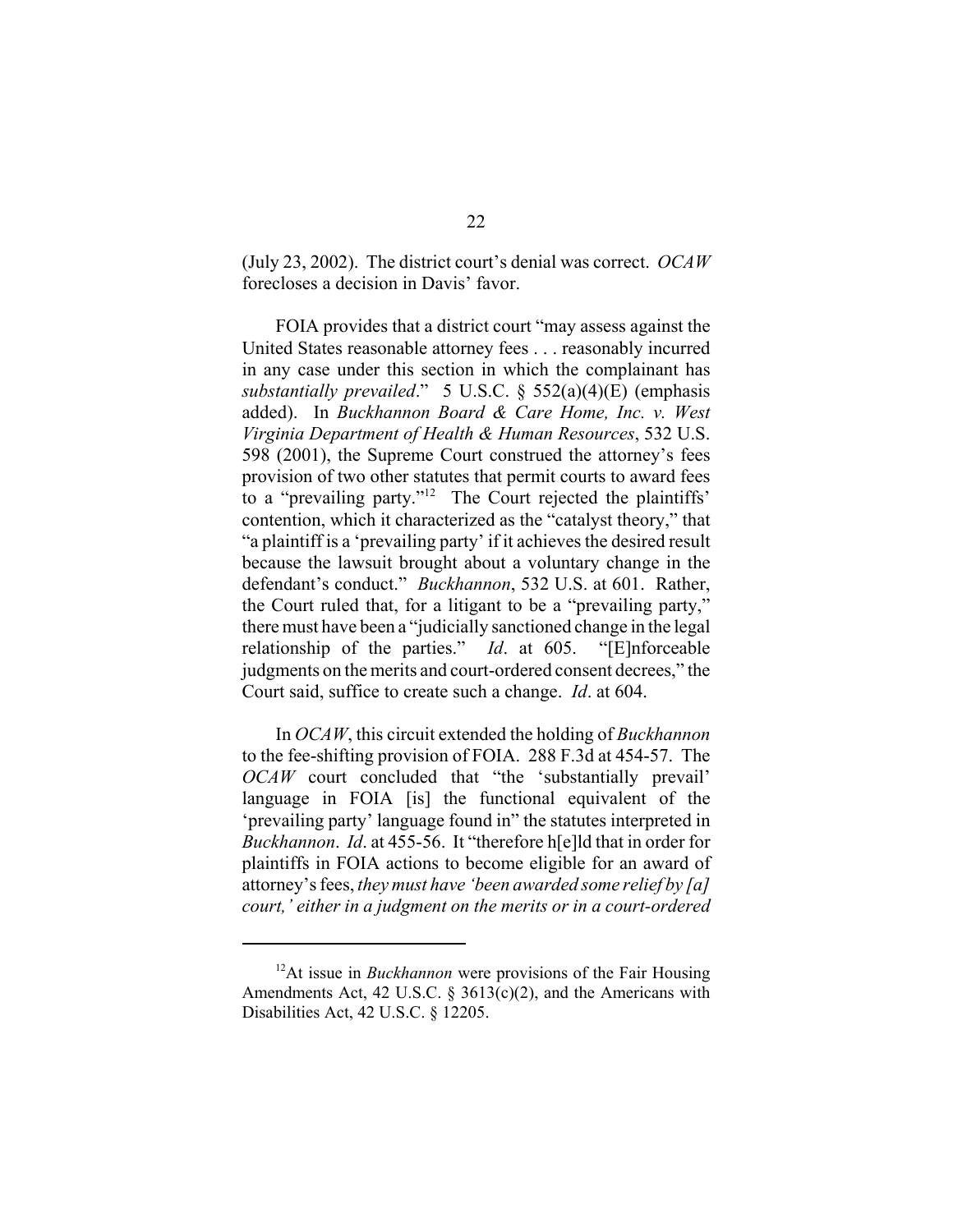(July 23, 2002). The district court's denial was correct. *OCAW* forecloses a decision in Davis' favor.

FOIA provides that a district court "may assess against the United States reasonable attorney fees . . . reasonably incurred in any case under this section in which the complainant has *substantially prevailed*." 5 U.S.C. § 552(a)(4)(E) (emphasis added). In *Buckhannon Board & Care Home, Inc. v. West Virginia Department of Health & Human Resources*, 532 U.S. 598 (2001), the Supreme Court construed the attorney's fees provision of two other statutes that permit courts to award fees to a "prevailing party."12 The Court rejected the plaintiffs' contention, which it characterized as the "catalyst theory," that "a plaintiff is a 'prevailing party' if it achieves the desired result because the lawsuit brought about a voluntary change in the defendant's conduct." *Buckhannon*, 532 U.S. at 601. Rather, the Court ruled that, for a litigant to be a "prevailing party," there must have been a "judicially sanctioned change in the legal relationship of the parties." *Id*. at 605. "[E]nforceable judgments on the merits and court-ordered consent decrees," the Court said, suffice to create such a change. *Id*. at 604.

In *OCAW*, this circuit extended the holding of *Buckhannon* to the fee-shifting provision of FOIA. 288 F.3d at 454-57. The *OCAW* court concluded that "the 'substantially prevail' language in FOIA [is] the functional equivalent of the 'prevailing party' language found in" the statutes interpreted in *Buckhannon*. *Id*. at 455-56. It "therefore h[e]ld that in order for plaintiffs in FOIA actions to become eligible for an award of attorney's fees, *they must have 'been awarded some relief by [a] court,' either in a judgment on the merits or in a court-ordered*

<sup>&</sup>lt;sup>12</sup>At issue in *Buckhannon* were provisions of the Fair Housing Amendments Act, 42 U.S.C. § 3613(c)(2), and the Americans with Disabilities Act, 42 U.S.C. § 12205.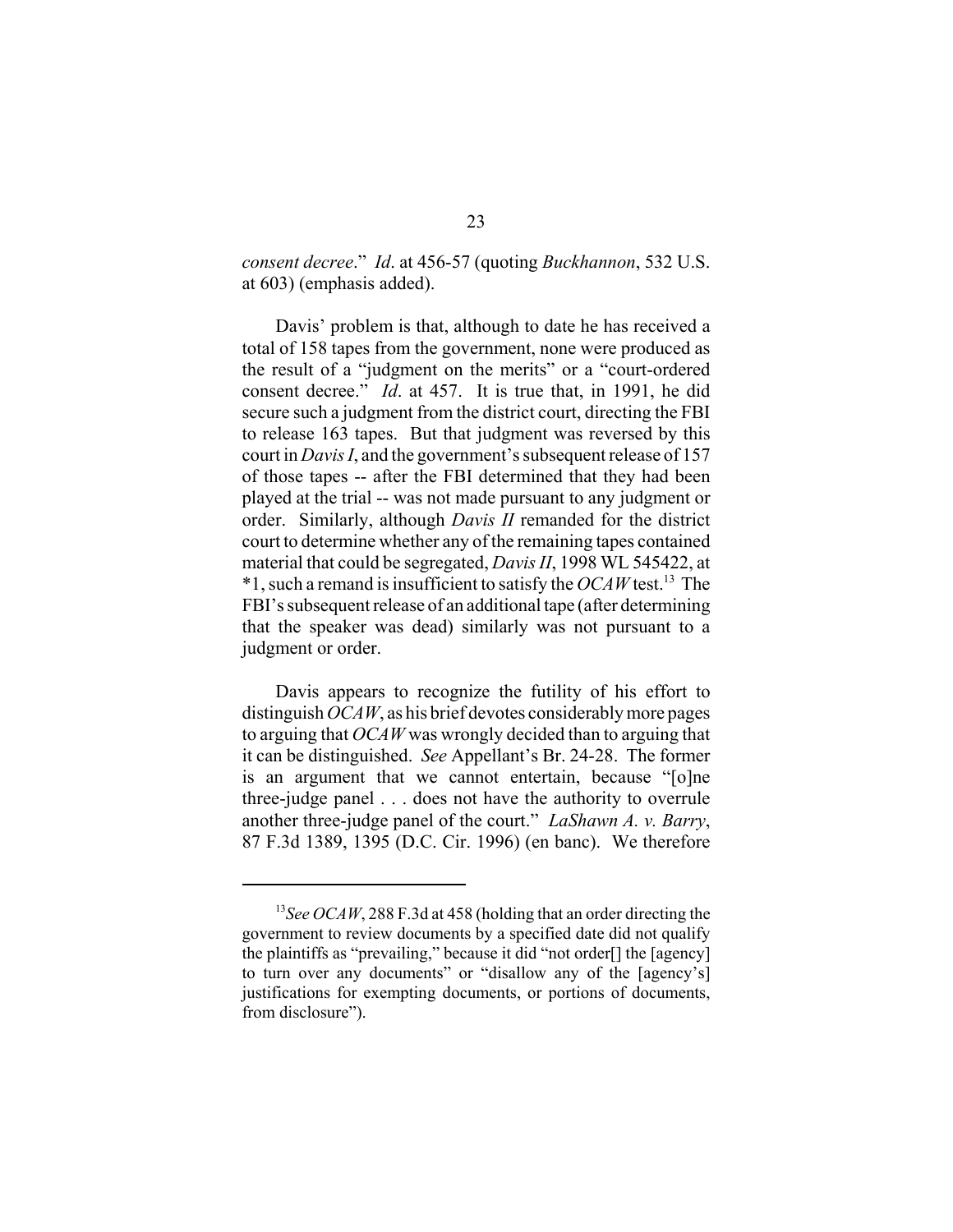*consent decree*." *Id*. at 456-57 (quoting *Buckhannon*, 532 U.S. at 603) (emphasis added).

Davis' problem is that, although to date he has received a total of 158 tapes from the government, none were produced as the result of a "judgment on the merits" or a "court-ordered consent decree." *Id*. at 457. It is true that, in 1991, he did secure such a judgment from the district court, directing the FBI to release 163 tapes. But that judgment was reversed by this court in *Davis I*, and the government's subsequent release of 157 of those tapes -- after the FBI determined that they had been played at the trial -- was not made pursuant to any judgment or order. Similarly, although *Davis II* remanded for the district court to determine whether any of the remaining tapes contained material that could be segregated, *Davis II*, 1998 WL 545422, at  $*1$ , such a remand is insufficient to satisfy the *OCAW* test.<sup>13</sup> The FBI's subsequent release of an additional tape (after determining that the speaker was dead) similarly was not pursuant to a judgment or order.

Davis appears to recognize the futility of his effort to distinguish *OCAW*, as his brief devotes considerably more pages to arguing that *OCAW* was wrongly decided than to arguing that it can be distinguished. *See* Appellant's Br. 24-28. The former is an argument that we cannot entertain, because "[o]ne three-judge panel . . . does not have the authority to overrule another three-judge panel of the court." *LaShawn A. v. Barry*, 87 F.3d 1389, 1395 (D.C. Cir. 1996) (en banc). We therefore

<sup>13</sup>*See OCAW*, 288 F.3d at 458 (holding that an order directing the government to review documents by a specified date did not qualify the plaintiffs as "prevailing," because it did "not order[] the [agency] to turn over any documents" or "disallow any of the [agency's] justifications for exempting documents, or portions of documents, from disclosure").